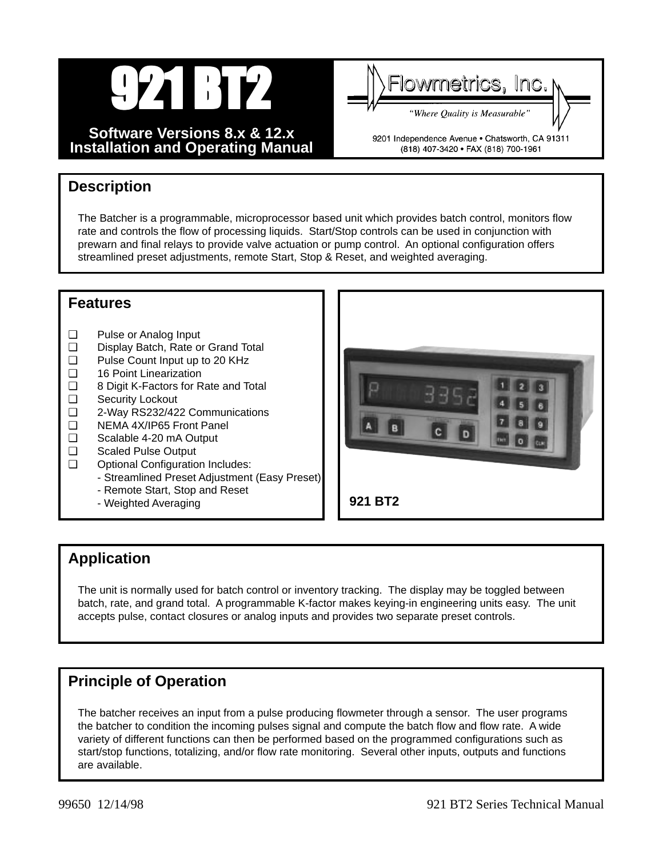

**Software Versions 8.x & 12.x Installation and Operating Manual**



9201 Independence Avenue . Chatsworth, CA 91311 (818) 407-3420 · FAX (818) 700-1961

# **Description**

The Batcher is a programmable, microprocessor based unit which provides batch control, monitors flow rate and controls the flow of processing liquids. Start/Stop controls can be used in conjunction with prewarn and final relays to provide valve actuation or pump control. An optional configuration offers streamlined preset adjustments, remote Start, Stop & Reset, and weighted averaging.

# **Features**

- ❑ Pulse or Analog Input
- ❑ Display Batch, Rate or Grand Total
- ❑ Pulse Count Input up to 20 KHz
- ❑ 16 Point Linearization
- ❑ 8 Digit K-Factors for Rate and Total
- Security Lockout
- ❑ 2-Way RS232/422 Communications
- ❑ NEMA 4X/IP65 Front Panel
- ❑ Scalable 4-20 mA Output
- ❑ Scaled Pulse Output
- ❑ Optional Configuration Includes:
	- Streamlined Preset Adjustment (Easy Preset)
	- Remote Start, Stop and Reset
		- Weighted Averaging



# **Application**

The unit is normally used for batch control or inventory tracking. The display may be toggled between batch, rate, and grand total. A programmable K-factor makes keying-in engineering units easy. The unit accepts pulse, contact closures or analog inputs and provides two separate preset controls.

# **Principle of Operation**

The batcher receives an input from a pulse producing flowmeter through a sensor. The user programs the batcher to condition the incoming pulses signal and compute the batch flow and flow rate. A wide variety of different functions can then be performed based on the programmed configurations such as start/stop functions, totalizing, and/or flow rate monitoring. Several other inputs, outputs and functions are available.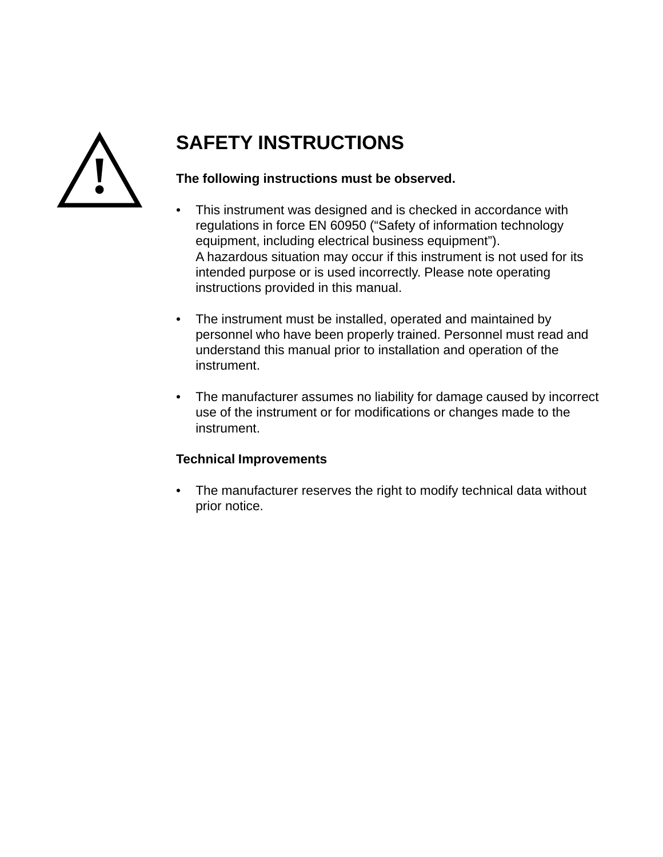

# **SAFETY INSTRUCTIONS**

# **The following instructions must be observed.**

- This instrument was designed and is checked in accordance with regulations in force EN 60950 ("Safety of information technology equipment, including electrical business equipment"). A hazardous situation may occur if this instrument is not used for its intended purpose or is used incorrectly. Please note operating instructions provided in this manual.
- The instrument must be installed, operated and maintained by personnel who have been properly trained. Personnel must read and understand this manual prior to installation and operation of the instrument.
- The manufacturer assumes no liability for damage caused by incorrect use of the instrument or for modifications or changes made to the instrument.

# **Technical Improvements**

• The manufacturer reserves the right to modify technical data without prior notice.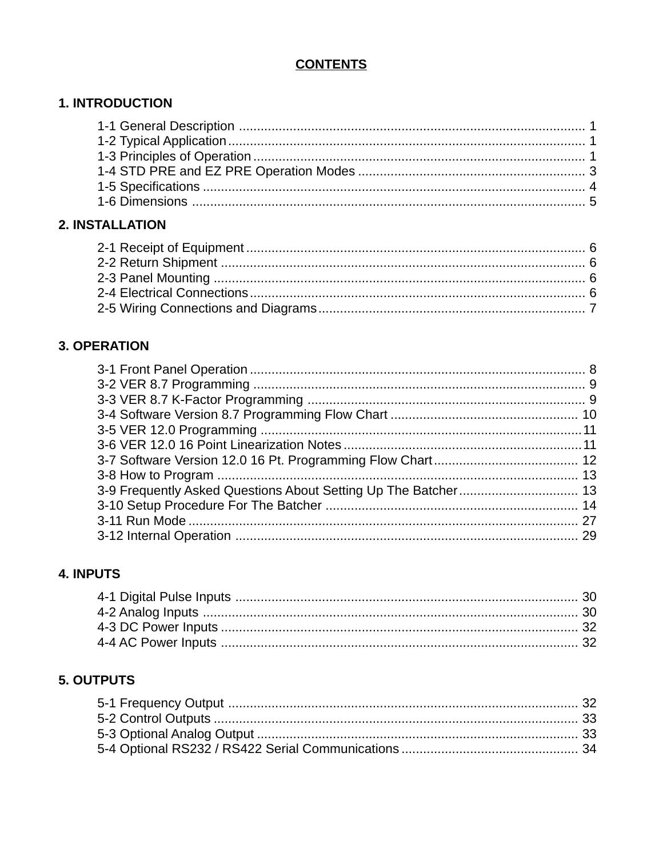# **CONTENTS**

# **1. INTRODUCTION**

# 2. INSTALLATION

# **3. OPERATION**

# **4. INPUTS**

# **5. OUTPUTS**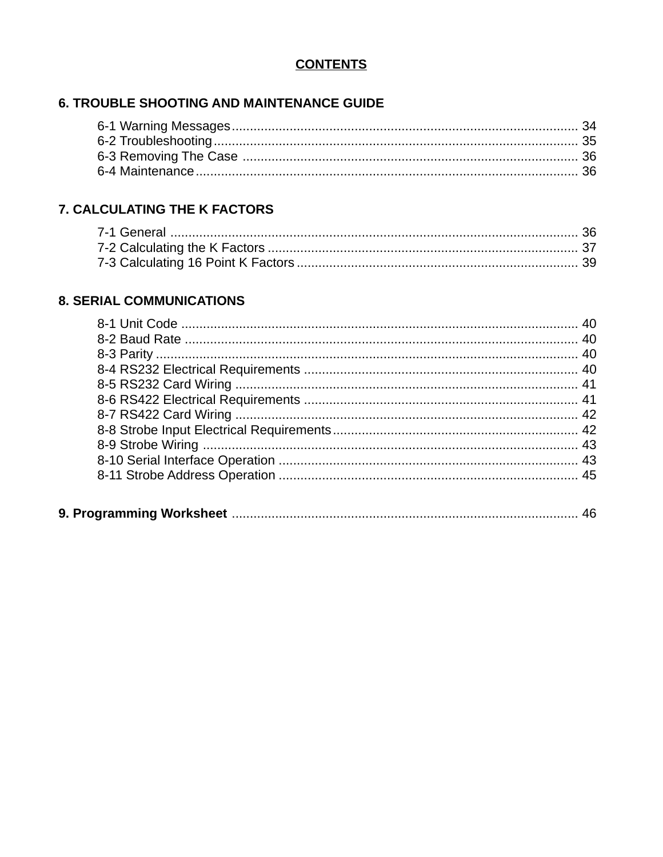# **CONTENTS**

# **6. TROUBLE SHOOTING AND MAINTENANCE GUIDE**

# 7. CALCULATING THE K FACTORS

# **8. SERIAL COMMUNICATIONS**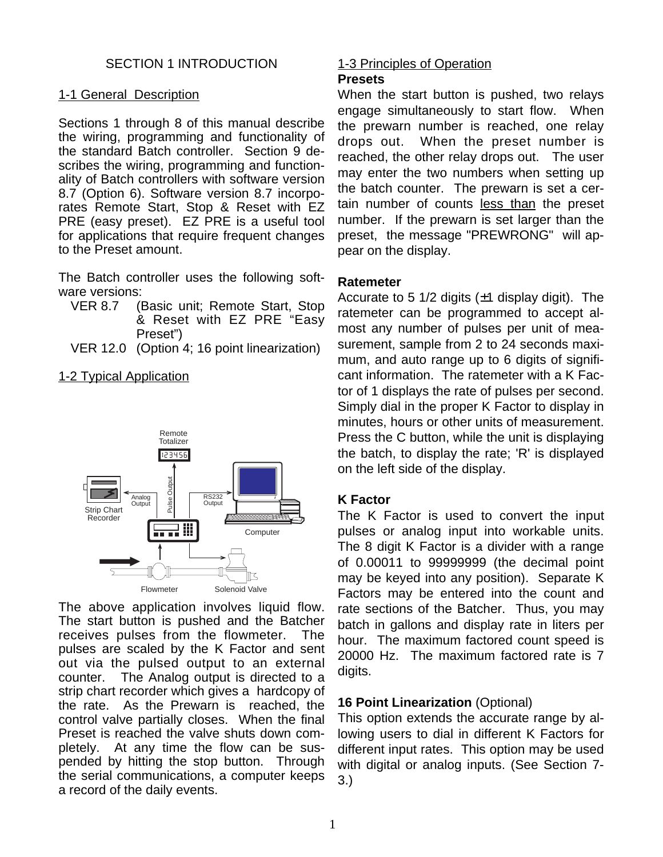# SECTION 1 INTRODUCTION

#### 1-1 General Description

Sections 1 through 8 of this manual describe the wiring, programming and functionality of the standard Batch controller. Section 9 describes the wiring, programming and functionality of Batch controllers with software version 8.7 (Option 6). Software version 8.7 incorporates Remote Start, Stop & Reset with EZ PRE (easy preset). EZ PRE is a useful tool for applications that require frequent changes to the Preset amount.

The Batch controller uses the following software versions:

- VER 8.7 (Basic unit; Remote Start, Stop & Reset with EZ PRE "Easy Preset")
- VER 12.0 (Option 4; 16 point linearization)

#### 1-2 Typical Application



The above application involves liquid flow. The start button is pushed and the Batcher receives pulses from the flowmeter. The pulses are scaled by the K Factor and sent out via the pulsed output to an external counter. The Analog output is directed to a strip chart recorder which gives a hardcopy of the rate. As the Prewarn is reached, the control valve partially closes. When the final Preset is reached the valve shuts down completely. At any time the flow can be suspended by hitting the stop button. Through the serial communications, a computer keeps a record of the daily events.

# 1-3 Principles of Operation

#### **Presets**

When the start button is pushed, two relays engage simultaneously to start flow. When the prewarn number is reached, one relay drops out. When the preset number is reached, the other relay drops out. The user may enter the two numbers when setting up the batch counter. The prewarn is set a certain number of counts less than the preset number. If the prewarn is set larger than the preset, the message "PREWRONG" will appear on the display.

#### **Ratemeter**

Accurate to 5 1/2 digits  $(\pm 1)$  display digit). The ratemeter can be programmed to accept almost any number of pulses per unit of measurement, sample from 2 to 24 seconds maximum, and auto range up to 6 digits of significant information. The ratemeter with a K Factor of 1 displays the rate of pulses per second. Simply dial in the proper K Factor to display in minutes, hours or other units of measurement. Press the C button, while the unit is displaying the batch, to display the rate; 'R' is displayed on the left side of the display.

#### **K Factor**

The K Factor is used to convert the input pulses or analog input into workable units. The 8 digit K Factor is a divider with a range of 0.00011 to 99999999 (the decimal point may be keyed into any position). Separate K Factors may be entered into the count and rate sections of the Batcher. Thus, you may batch in gallons and display rate in liters per hour. The maximum factored count speed is 20000 Hz. The maximum factored rate is 7 digits.

# **16 Point Linearization** (Optional)

This option extends the accurate range by allowing users to dial in different K Factors for different input rates. This option may be used with digital or analog inputs. (See Section 7- 3.)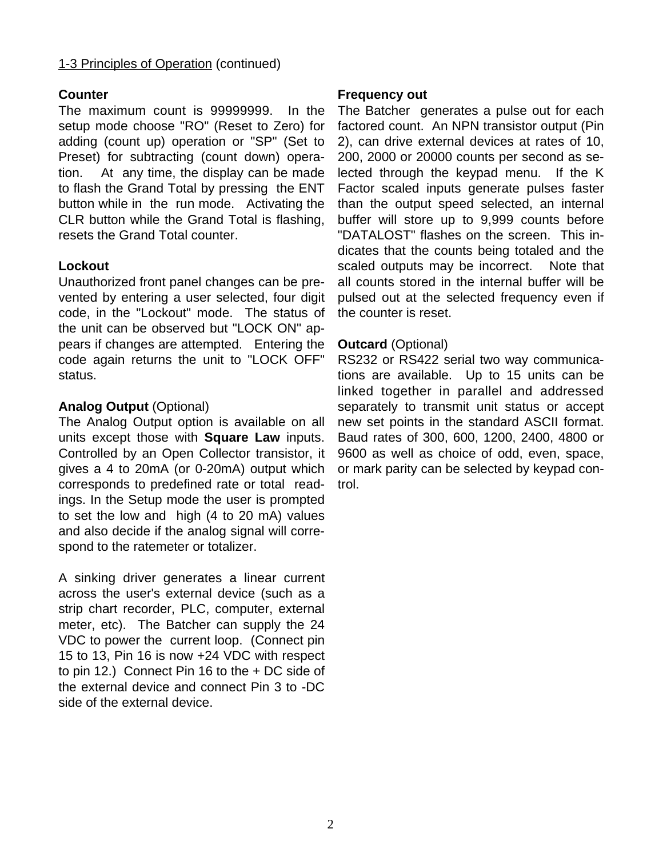# 1-3 Principles of Operation (continued)

# **Counter**

The maximum count is 99999999. In the setup mode choose "RO" (Reset to Zero) for adding (count up) operation or "SP" (Set to Preset) for subtracting (count down) operation. At any time, the display can be made to flash the Grand Total by pressing the ENT button while in the run mode. Activating the CLR button while the Grand Total is flashing, resets the Grand Total counter.

# **Lockout**

Unauthorized front panel changes can be prevented by entering a user selected, four digit code, in the "Lockout" mode. The status of the unit can be observed but "LOCK ON" appears if changes are attempted. Entering the code again returns the unit to "LOCK OFF" status.

# **Analog Output** (Optional)

The Analog Output option is available on all units except those with **Square Law** inputs. Controlled by an Open Collector transistor, it gives a 4 to 20mA (or 0-20mA) output which corresponds to predefined rate or total readings. In the Setup mode the user is prompted to set the low and high (4 to 20 mA) values and also decide if the analog signal will correspond to the ratemeter or totalizer.

A sinking driver generates a linear current across the user's external device (such as a strip chart recorder, PLC, computer, external meter, etc). The Batcher can supply the 24 VDC to power the current loop. (Connect pin 15 to 13, Pin 16 is now +24 VDC with respect to pin 12.) Connect Pin 16 to the + DC side of the external device and connect Pin 3 to -DC side of the external device.

#### **Frequency out**

The Batcher generates a pulse out for each factored count. An NPN transistor output (Pin 2), can drive external devices at rates of 10, 200, 2000 or 20000 counts per second as selected through the keypad menu. If the K Factor scaled inputs generate pulses faster than the output speed selected, an internal buffer will store up to 9,999 counts before "DATALOST" flashes on the screen. This indicates that the counts being totaled and the scaled outputs may be incorrect. Note that all counts stored in the internal buffer will be pulsed out at the selected frequency even if the counter is reset.

# **Outcard** (Optional)

RS232 or RS422 serial two way communications are available. Up to 15 units can be linked together in parallel and addressed separately to transmit unit status or accept new set points in the standard ASCII format. Baud rates of 300, 600, 1200, 2400, 4800 or 9600 as well as choice of odd, even, space, or mark parity can be selected by keypad control.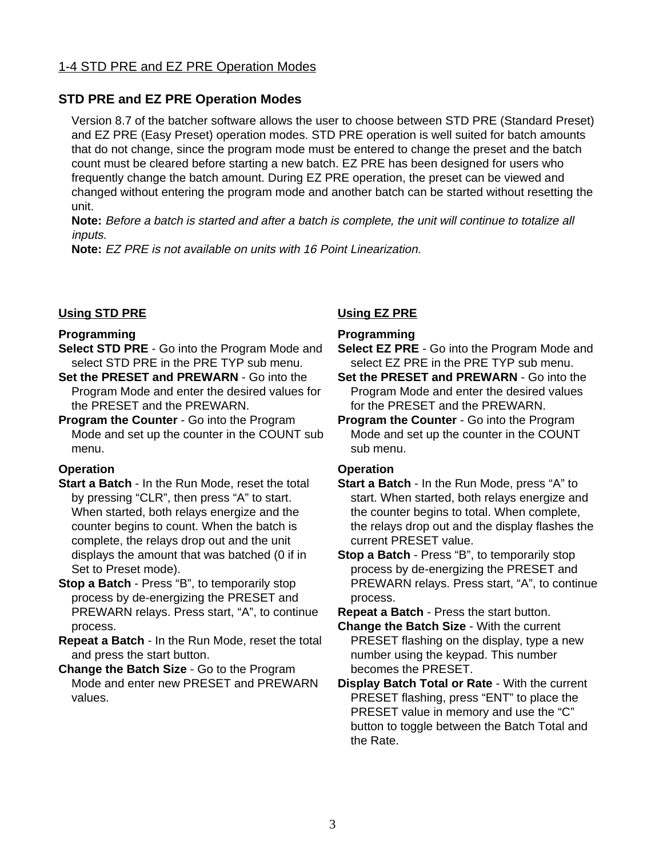# 1-4 STD PRE and EZ PRE Operation Modes

#### **STD PRE and EZ PRE Operation Modes**

Version 8.7 of the batcher software allows the user to choose between STD PRE (Standard Preset) and EZ PRE (Easy Preset) operation modes. STD PRE operation is well suited for batch amounts that do not change, since the program mode must be entered to change the preset and the batch count must be cleared before starting a new batch. EZ PRE has been designed for users who frequently change the batch amount. During EZ PRE operation, the preset can be viewed and changed without entering the program mode and another batch can be started without resetting the unit.

**Note:** Before a batch is started and after a batch is complete, the unit will continue to totalize all inputs.

**Note:** EZ PRE is not available on units with 16 Point Linearization.

#### **Using STD PRE**

#### **Programming**

- **Select STD PRE** Go into the Program Mode and select STD PRE in the PRE TYP sub menu.
- **Set the PRESET and PREWARN** Go into the Program Mode and enter the desired values for the PRESET and the PREWARN.
- **Program the Counter** Go into the Program Mode and set up the counter in the COUNT sub menu.

#### **Operation**

- **Start a Batch** In the Run Mode, reset the total by pressing "CLR", then press "A" to start. When started, both relays energize and the counter begins to count. When the batch is complete, the relays drop out and the unit displays the amount that was batched (0 if in Set to Preset mode).
- **Stop a Batch** Press "B", to temporarily stop process by de-energizing the PRESET and PREWARN relays. Press start, "A", to continue process.
- **Repeat a Batch** In the Run Mode, reset the total and press the start button.
- **Change the Batch Size** Go to the Program Mode and enter new PRESET and PREWARN values.

#### **Using EZ PRE**

#### **Programming**

- **Select EZ PRE** Go into the Program Mode and select EZ PRE in the PRE TYP sub menu.
- **Set the PRESET and PREWARN** Go into the Program Mode and enter the desired values for the PRESET and the PREWARN.
- **Program the Counter** Go into the Program Mode and set up the counter in the COUNT sub menu.

#### **Operation**

- **Start a Batch** In the Run Mode, press "A" to start. When started, both relays energize and the counter begins to total. When complete, the relays drop out and the display flashes the current PRESET value.
- **Stop a Batch** Press "B", to temporarily stop process by de-energizing the PRESET and PREWARN relays. Press start, "A", to continue process.

**Repeat a Batch** - Press the start button.

- **Change the Batch Size** With the current PRESET flashing on the display, type a new number using the keypad. This number becomes the PRESET.
- **Display Batch Total or Rate** With the current PRESET flashing, press "ENT" to place the PRESET value in memory and use the "C" button to toggle between the Batch Total and the Rate.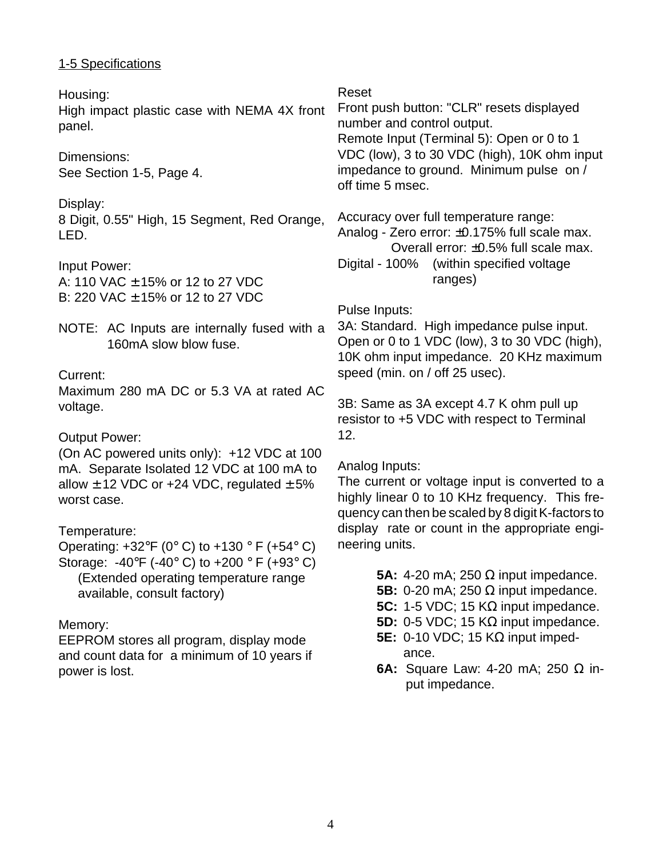# 1-5 Specifications

Housing: High impact plastic case with NEMA 4X front panel.

Dimensions: See Section 1-5, Page 4.

Display: 8 Digit, 0.55" High, 15 Segment, Red Orange, LED.

Input Power: A: 110 VAC ± 15% or 12 to 27 VDC B: 220 VAC ± 15% or 12 to 27 VDC

NOTE: AC Inputs are internally fused with a 160mA slow blow fuse.

# Current:

Maximum 280 mA DC or 5.3 VA at rated AC voltage.

Output Power:

(On AC powered units only): +12 VDC at 100 mA. Separate Isolated 12 VDC at 100 mA to allow  $\pm$  12 VDC or +24 VDC, regulated  $\pm$  5% worst case.

Temperature:

Operating:  $+32^{\circ}F$  (0° C) to  $+130^{\circ}F$  (+54° C) Storage: -40°F (-40°C) to +200 °F (+93°C) (Extended operating temperature range available, consult factory)

Memory:

EEPROM stores all program, display mode and count data for a minimum of 10 years if power is lost.

Reset

Front push button: "CLR" resets displayed number and control output. Remote Input (Terminal 5): Open or 0 to 1 VDC (low), 3 to 30 VDC (high), 10K ohm input impedance to ground. Minimum pulse on / off time 5 msec.

Accuracy over full temperature range: Analog - Zero error: ±0.175% full scale max. Overall error: ±0.5% full scale max. Digital - 100% (within specified voltage ranges)

# Pulse Inputs:

3A: Standard. High impedance pulse input. Open or 0 to 1 VDC (low), 3 to 30 VDC (high), 10K ohm input impedance. 20 KHz maximum speed (min. on / off 25 usec).

3B: Same as 3A except 4.7 K ohm pull up resistor to +5 VDC with respect to Terminal 12.

# Analog Inputs:

The current or voltage input is converted to a highly linear 0 to 10 KHz frequency. This frequency can then be scaled by 8 digit K-factors to display rate or count in the appropriate engineering units.

**5A:** 4-20 mA; 250 Ω input impedance.

- **5B:** 0-20 mA; 250 Ω input impedance.
- **5C:** 1-5 VDC; 15 KΩ input impedance.
- **5D:** 0-5 VDC; 15 KΩ input impedance.
- **5E:** 0-10 VDC; 15 KΩ input impedance.
- **6A:** Square Law: 4-20 mA; 250 Ω input impedance.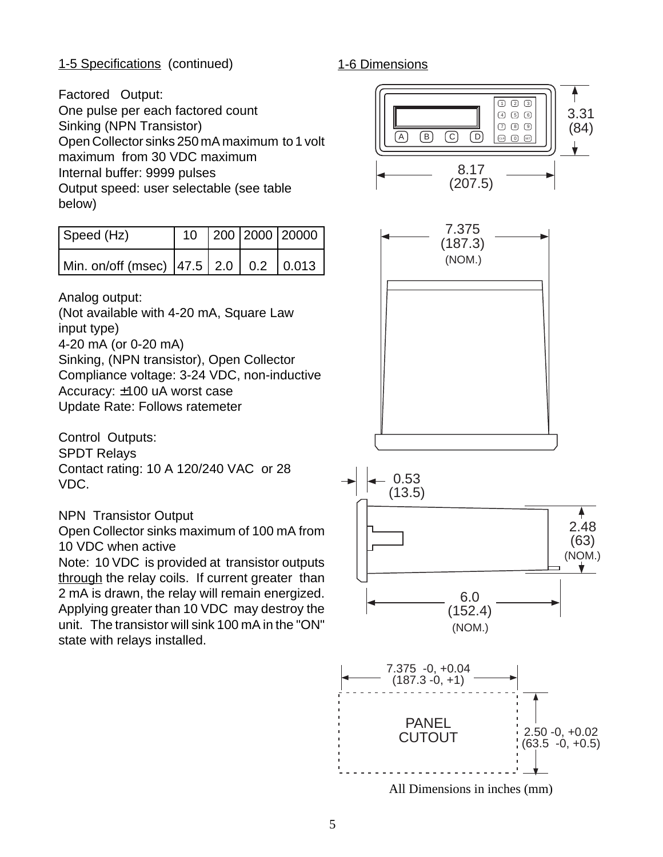# 1-5 Specifications (continued)

1-6 Dimensions

Factored Output:

One pulse per each factored count Sinking (NPN Transistor) Open Collector sinks 250 mA maximum to 1 volt maximum from 30 VDC maximum Internal buffer: 9999 pulses Output speed: user selectable (see table below)

| Speed (Hz)                               |  | 10 200 2000 20000 |
|------------------------------------------|--|-------------------|
| Min. on/off (msec) $ 47.5 2.0 0.2 0.013$ |  |                   |

Analog output:

(Not available with 4-20 mA, Square Law input type) 4-20 mA (or 0-20 mA) Sinking, (NPN transistor), Open Collector Compliance voltage: 3-24 VDC, non-inductive Accuracy: ±100 uA worst case Update Rate: Follows ratemeter

Control Outputs: SPDT Relays Contact rating: 10 A 120/240 VAC or 28 VDC.

NPN Transistor Output

Open Collector sinks maximum of 100 mA from 10 VDC when active

Note: 10 VDC is provided at transistor outputs through the relay coils. If current greater than 2 mA is drawn, the relay will remain energized. Applying greater than 10 VDC may destroy the unit. The transistor will sink 100 mA in the "ON" state with relays installed.



All Dimensions in inches (mm)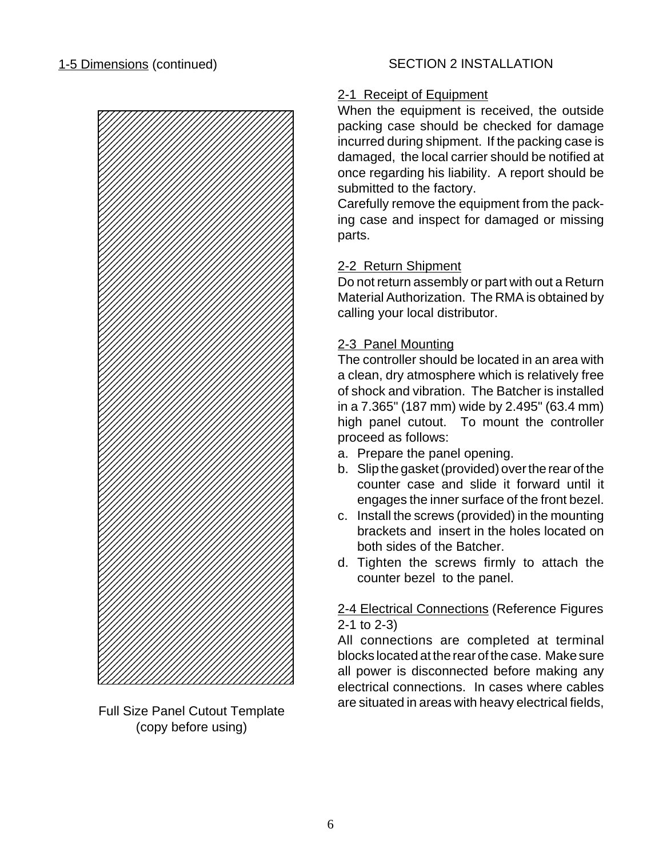

Full Size Panel Cutout Template (copy before using)

# 2-1 Receipt of Equipment

When the equipment is received, the outside packing case should be checked for damage incurred during shipment. If the packing case is damaged, the local carrier should be notified at once regarding his liability. A report should be submitted to the factory.

Carefully remove the equipment from the packing case and inspect for damaged or missing parts.

# 2-2 Return Shipment

Do not return assembly or part with out a Return Material Authorization. The RMA is obtained by calling your local distributor.

# 2-3 Panel Mounting

The controller should be located in an area with a clean, dry atmosphere which is relatively free of shock and vibration. The Batcher is installed in a 7.365" (187 mm) wide by 2.495" (63.4 mm) high panel cutout. To mount the controller proceed as follows:

- a. Prepare the panel opening.
- b. Slip the gasket (provided) over the rear of the counter case and slide it forward until it engages the inner surface of the front bezel.
- c. Install the screws (provided) in the mounting brackets and insert in the holes located on both sides of the Batcher.
- d. Tighten the screws firmly to attach the counter bezel to the panel.

# 2-4 Electrical Connections (Reference Figures 2-1 to 2-3)

All connections are completed at terminal blocks located at the rear of the case. Make sure all power is disconnected before making any electrical connections. In cases where cables are situated in areas with heavy electrical fields,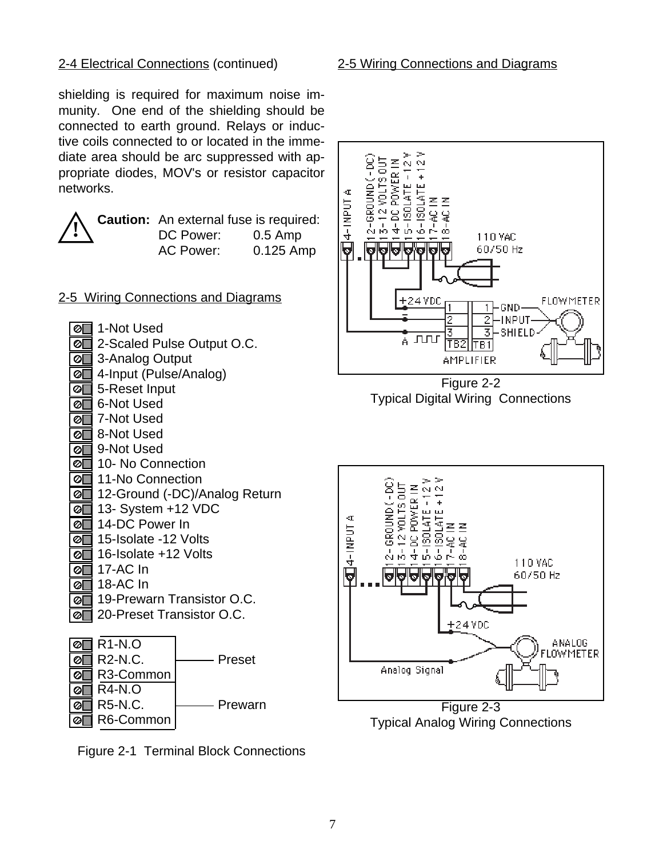#### 2-4 Electrical Connections (continued)

shielding is required for maximum noise immunity. One end of the shielding should be connected to earth ground. Relays or inductive coils connected to or located in the immediate area should be arc suppressed with appropriate diodes, MOV's or resistor capacitor networks.

**Caution:** An external fuse is required: DC Power: 0.5 Amp AC Power: 0.125 Amp

2-5 Wiring Connections and Diagrams

| ∣ ⊘[ | 1-Not Used                    |
|------|-------------------------------|
| । ଡା | 2-Scaled Pulse Output O.C.    |
| [⊘[  | 3-Analog Output               |
| ⊘    | 4-Input (Pulse/Analog)        |
| ⊘    | 5-Reset Input                 |
| 0    | 6-Not Used                    |
| Ø    | 7-Not Used                    |
| Ø    | 8-Not Used                    |
| Ø    | 9-Not Used                    |
| Ø    | 10- No Connection             |
| Ø    | 11-No Connection              |
| ାଡା  | 12-Ground (-DC)/Analog Return |
| ∣ ଡା | 13- System +12 VDC            |
| ∣ ⊘[ | 14-DC Power In                |
| ⊘    | 15-Isolate -12 Volts          |
| ∣⊘   | 16-Isolate +12 Volts          |
| ⊘[   | 17-AC In                      |
| ଡ[   | 18-AC In                      |
| ାଡା  | 19-Prewarn Transistor O.C.    |
| ⊘    | 20-Preset Transistor O.C.     |
|      |                               |



Figure 2-1 Terminal Block Connections

#### 2-5 Wiring Connections and Diagrams



Figure 2-2 Typical Digital Wiring Connections



Typical Analog Wiring Connections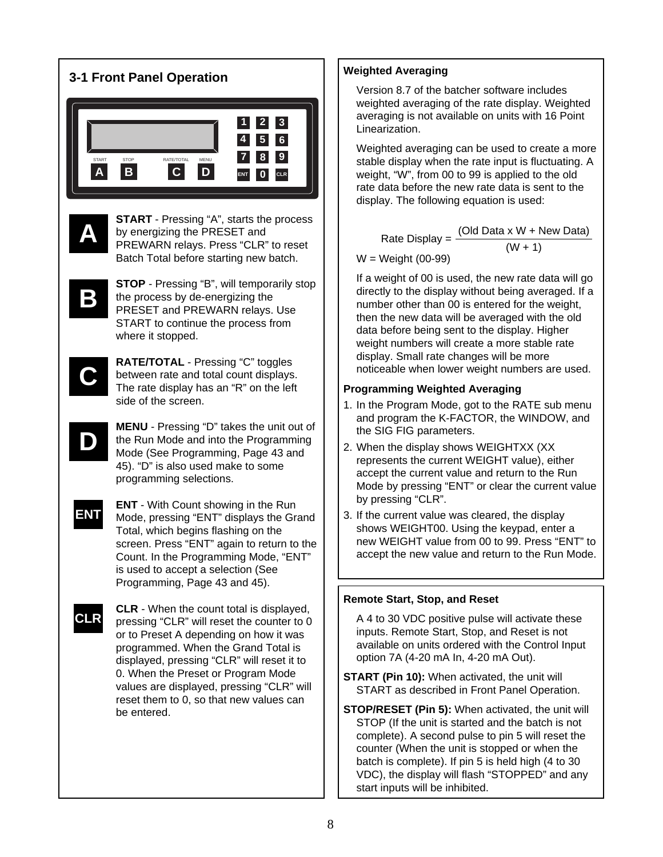

# **Weighted Averaging**

Version 8.7 of the batcher software includes weighted averaging of the rate display. Weighted averaging is not available on units with 16 Point Linearization.

Weighted averaging can be used to create a more stable display when the rate input is fluctuating. A weight, "W", from 00 to 99 is applied to the old rate data before the new rate data is sent to the display. The following equation is used:

Rate Display =  $\frac{(Old Data \times W + New Data)}{(W + 1)}$ 

W = Weight (00-99)

If a weight of 00 is used, the new rate data will go directly to the display without being averaged. If a number other than 00 is entered for the weight, then the new data will be averaged with the old data before being sent to the display. Higher weight numbers will create a more stable rate display. Small rate changes will be more noticeable when lower weight numbers are used.

# **Programming Weighted Averaging**

- 1. In the Program Mode, got to the RATE sub menu and program the K-FACTOR, the WINDOW, and the SIG FIG parameters.
- 2. When the display shows WEIGHTXX (XX represents the current WEIGHT value), either accept the current value and return to the Run Mode by pressing "ENT" or clear the current value by pressing "CLR".
- 3. If the current value was cleared, the display shows WEIGHT00. Using the keypad, enter a new WEIGHT value from 00 to 99. Press "ENT" to accept the new value and return to the Run Mode.

# **Remote Start, Stop, and Reset**

A 4 to 30 VDC positive pulse will activate these inputs. Remote Start, Stop, and Reset is not available on units ordered with the Control Input option 7A (4-20 mA In, 4-20 mA Out).

- **START (Pin 10):** When activated, the unit will START as described in Front Panel Operation.
- **STOP/RESET (Pin 5):** When activated, the unit will STOP (If the unit is started and the batch is not complete). A second pulse to pin 5 will reset the counter (When the unit is stopped or when the batch is complete). If pin 5 is held high (4 to 30 VDC), the display will flash "STOPPED" and any start inputs will be inhibited.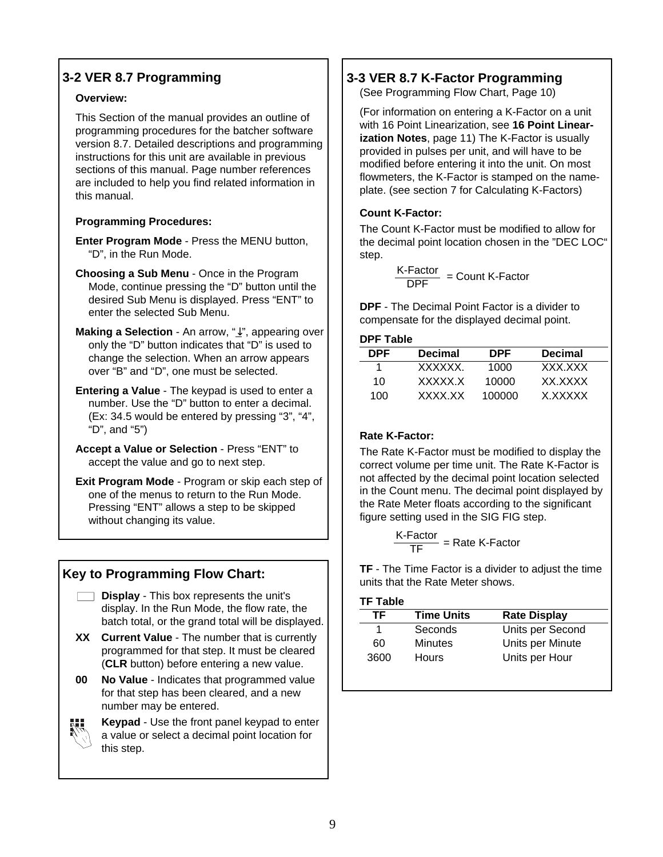# **3-2 VER 8.7 Programming**

#### **Overview:**

This Section of the manual provides an outline of programming procedures for the batcher software version 8.7. Detailed descriptions and programming instructions for this unit are available in previous sections of this manual. Page number references are included to help you find related information in this manual.

#### **Programming Procedures:**

- **Enter Program Mode** Press the MENU button, "D", in the Run Mode.
- **Choosing a Sub Menu** Once in the Program Mode, continue pressing the "D" button until the desired Sub Menu is displayed. Press "ENT" to enter the selected Sub Menu.
- **Making a Selection** An arrow, " $\downarrow$ ", appearing over only the "D" button indicates that "D" is used to change the selection. When an arrow appears over "B" and "D", one must be selected.
- **Entering a Value** The keypad is used to enter a number. Use the "D" button to enter a decimal. (Ex: 34.5 would be entered by pressing "3", "4", "D", and "5")
- **Accept a Value or Selection** Press "ENT" to accept the value and go to next step.
- **Exit Program Mode** Program or skip each step of one of the menus to return to the Run Mode. Pressing "ENT" allows a step to be skipped without changing its value.

# **Key to Programming Flow Chart:**

- **Display** This box represents the unit's display. In the Run Mode, the flow rate, the batch total, or the grand total will be displayed.
- **XX Current Value** The number that is currently programmed for that step. It must be cleared (**CLR** button) before entering a new value.
- **00 No Value** Indicates that programmed value for that step has been cleared, and a new number may be entered.



**Keypad** - Use the front panel keypad to enter a value or select a decimal point location for this step.

# **3-3 VER 8.7 K-Factor Programming**

(See Programming Flow Chart, Page 10)

(For information on entering a K-Factor on a unit with 16 Point Linearization, see **16 Point Linearization Notes**, page 11) The K-Factor is usually provided in pulses per unit, and will have to be modified before entering it into the unit. On most flowmeters, the K-Factor is stamped on the nameplate. (see section 7 for Calculating K-Factors)

# **Count K-Factor:**

The Count K-Factor must be modified to allow for the decimal point location chosen in the "DEC LOC" step.

K-Factor = Count K-Factor<br>DPF = Count K-Factor

**DPF** - The Decimal Point Factor is a divider to compensate for the displayed decimal point.

#### **DPF Table**

| <b>Decimal</b> | <b>DPF</b> | <b>Decimal</b> |  |
|----------------|------------|----------------|--|
| <b>XXXXXX</b>  | 1000       | XXX XXX        |  |
| XXXXX X        | 10000      | XX XXXX        |  |
| XXXX XX        | 100000     | X XXXXX        |  |
|                |            |                |  |

# **Rate K-Factor:**

The Rate K-Factor must be modified to display the correct volume per time unit. The Rate K-Factor is not affected by the decimal point location selected in the Count menu. The decimal point displayed by the Rate Meter floats according to the significant figure setting used in the SIG FIG step.

$$
\frac{\text{K-Factor}}{\text{TF}} = \text{Rate K-Factor}
$$

**TF** - The Time Factor is a divider to adjust the time units that the Rate Meter shows.

#### **TF Table**

| TF   | <b>Time Units</b> | <b>Rate Display</b> |
|------|-------------------|---------------------|
|      | Seconds           | Units per Second    |
| 60   | <b>Minutes</b>    | Units per Minute    |
| 3600 | <b>Hours</b>      | Units per Hour      |
|      |                   |                     |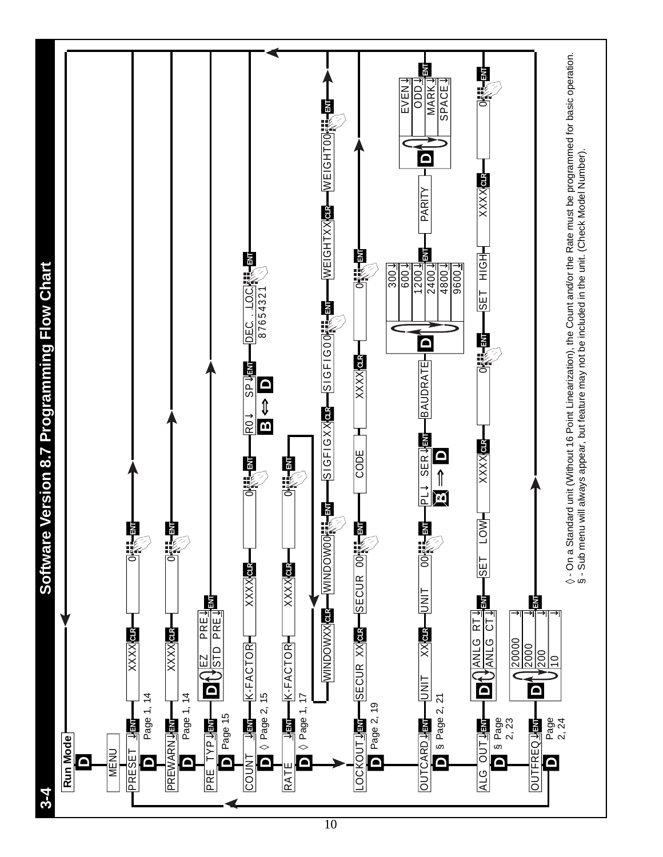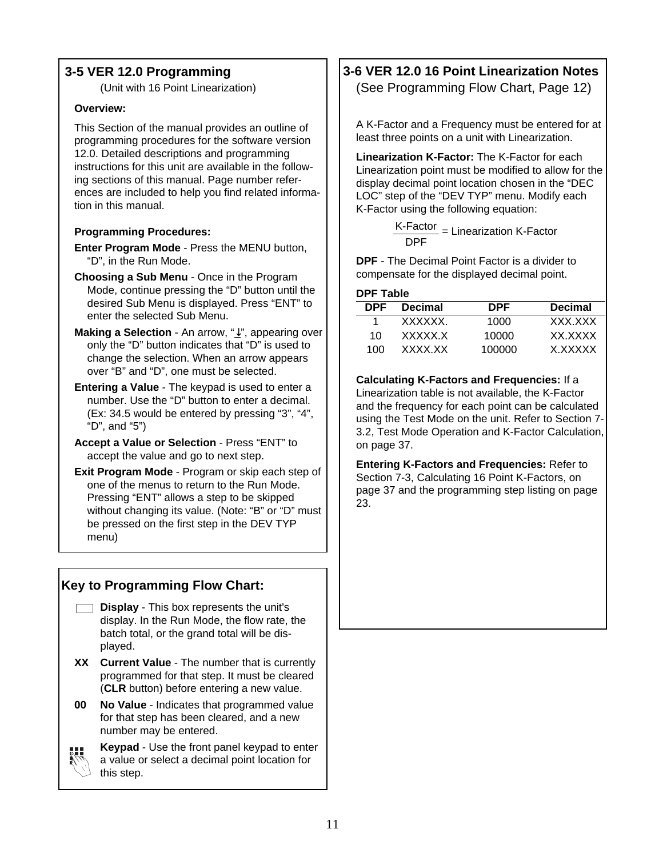# **3-5 VER 12.0 Programming**

(Unit with 16 Point Linearization)

#### **Overview:**

This Section of the manual provides an outline of programming procedures for the software version 12.0. Detailed descriptions and programming instructions for this unit are available in the following sections of this manual. Page number references are included to help you find related information in this manual.

#### **Programming Procedures:**

- **Enter Program Mode** Press the MENU button, "D", in the Run Mode.
- **Choosing a Sub Menu** Once in the Program Mode, continue pressing the "D" button until the desired Sub Menu is displayed. Press "ENT" to enter the selected Sub Menu.
- **Making a Selection** An arrow, " $\downarrow$ ", appearing over only the "D" button indicates that "D" is used to change the selection. When an arrow appears over "B" and "D", one must be selected.
- **Entering a Value** The keypad is used to enter a number. Use the "D" button to enter a decimal. (Ex: 34.5 would be entered by pressing "3", "4", "D", and "5")
- **Accept a Value or Selection** Press "ENT" to accept the value and go to next step.
- **Exit Program Mode** Program or skip each step of one of the menus to return to the Run Mode. Pressing "ENT" allows a step to be skipped without changing its value. (Note: "B" or "D" must be pressed on the first step in the DEV TYP menu)

# **Key to Programming Flow Chart:**

- **Display** This box represents the unit's display. In the Run Mode, the flow rate, the batch total, or the grand total will be displayed.
- **XX Current Value** The number that is currently programmed for that step. It must be cleared (**CLR** button) before entering a new value.
- **00 No Value** Indicates that programmed value for that step has been cleared, and a new number may be entered.



**Keypad** - Use the front panel keypad to enter a value or select a decimal point location for this step.

# **3-6 VER 12.0 16 Point Linearization Notes** (See Programming Flow Chart, Page 12)

A K-Factor and a Frequency must be entered for at least three points on a unit with Linearization.

**Linearization K-Factor:** The K-Factor for each Linearization point must be modified to allow for the display decimal point location chosen in the "DEC LOC" step of the "DEV TYP" menu. Modify each K-Factor using the following equation:

> K-Factor DPF = Linearization K-Factor

**DPF** - The Decimal Point Factor is a divider to compensate for the displayed decimal point.

#### **DPF Table**

| DPF. | <b>Decimal</b> | <b>DPF</b> | <b>Decimal</b> |
|------|----------------|------------|----------------|
|      | XXXXXX.        | 1000       | XXX XXX        |
| 10   | XXXXX X        | 10000      | XX XXXX        |
| 100  | XXXX XX        | 100000     | X XXXXX        |

**Calculating K-Factors and Frequencies:** If a Linearization table is not available, the K-Factor and the frequency for each point can be calculated using the Test Mode on the unit. Refer to Section 7- 3.2, Test Mode Operation and K-Factor Calculation, on page 37.

**Entering K-Factors and Frequencies:** Refer to Section 7-3, Calculating 16 Point K-Factors, on page 37 and the programming step listing on page 23.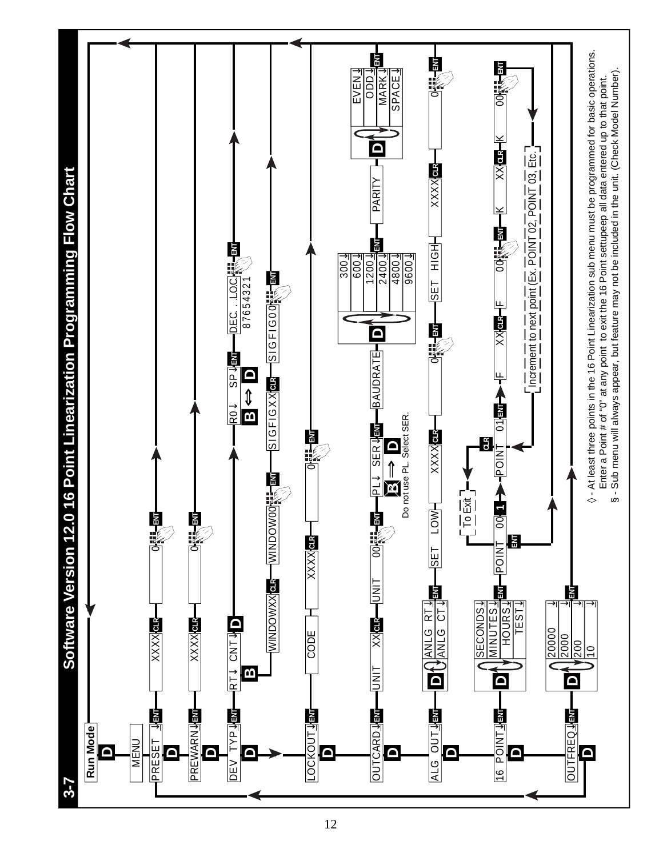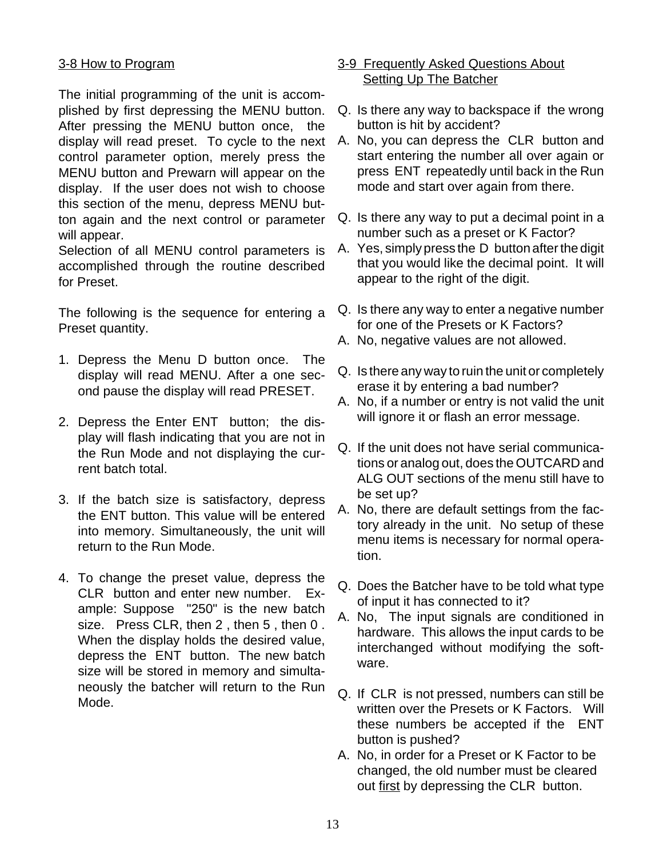# 3-8 How to Program

The initial programming of the unit is accomplished by first depressing the MENU button. After pressing the MENU button once, the display will read preset. To cycle to the next control parameter option, merely press the MENU button and Prewarn will appear on the display. If the user does not wish to choose this section of the menu, depress MENU button again and the next control or parameter will appear.

Selection of all MENU control parameters is accomplished through the routine described for Preset.

The following is the sequence for entering a Preset quantity.

- 1. Depress the Menu D button once. The display will read MENU. After a one second pause the display will read PRESET.
- 2. Depress the Enter ENT button; the display will flash indicating that you are not in the Run Mode and not displaying the current batch total.
- 3. If the batch size is satisfactory, depress the ENT button. This value will be entered into memory. Simultaneously, the unit will return to the Run Mode.
- 4. To change the preset value, depress the CLR button and enter new number. Example: Suppose "250" is the new batch size. Press CLR, then 2, then 5, then 0. When the display holds the desired value, depress the ENT button. The new batch size will be stored in memory and simultaneously the batcher will return to the Run Mode.

# 3-9 Frequently Asked Questions About Setting Up The Batcher

- Q. Is there any way to backspace if the wrong button is hit by accident?
- A. No, you can depress the CLR button and start entering the number all over again or press ENT repeatedly until back in the Run mode and start over again from there.
- Q. Is there any way to put a decimal point in a number such as a preset or K Factor?
- A. Yes, simply press the D button after the digit that you would like the decimal point. It will appear to the right of the digit.
- Q. Is there any way to enter a negative number for one of the Presets or K Factors?
- A. No, negative values are not allowed.
- Q. Is there any way to ruin the unit or completely erase it by entering a bad number?
- A. No, if a number or entry is not valid the unit will ignore it or flash an error message.
- Q. If the unit does not have serial communications or analog out, does the OUTCARD and ALG OUT sections of the menu still have to be set up?
- A. No, there are default settings from the factory already in the unit. No setup of these menu items is necessary for normal operation.
- Q. Does the Batcher have to be told what type of input it has connected to it?
- A. No, The input signals are conditioned in hardware. This allows the input cards to be interchanged without modifying the software.
- Q. If CLR is not pressed, numbers can still be written over the Presets or K Factors. Will these numbers be accepted if the ENT button is pushed?
- A. No, in order for a Preset or K Factor to be changed, the old number must be cleared out first by depressing the CLR button.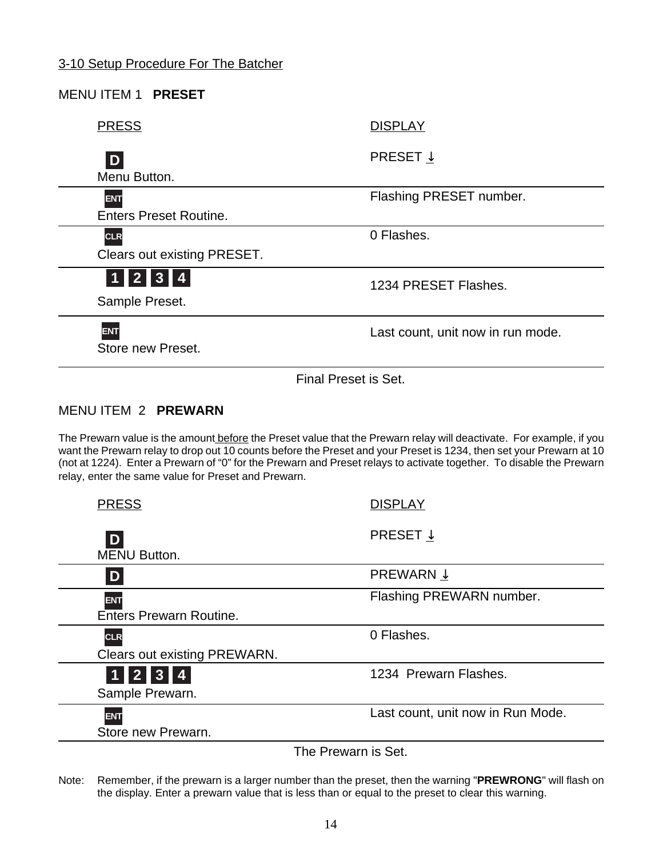| <b>MENU ITEM 1 PRESET</b>          |                                   |
|------------------------------------|-----------------------------------|
| <b>PRESS</b>                       | <b>DISPLAY</b>                    |
| D                                  | PRESET $\downarrow$               |
| Menu Button.                       |                                   |
| <b>ENT</b>                         | Flashing PRESET number.           |
| <b>Enters Preset Routine.</b>      |                                   |
| <b>CLR</b>                         | 0 Flashes.                        |
| <b>Clears out existing PRESET.</b> |                                   |
| 1  2  3  4                         | 1234 PRESET Flashes.              |
| Sample Preset.                     |                                   |
| <b>ENT</b><br>Store new Preset.    | Last count, unit now in run mode. |
|                                    |                                   |
|                                    | Final Preset is Set.              |

# MENU ITEM 2 **PREWARN**

The Prewarn value is the amount before the Preset value that the Prewarn relay will deactivate. For example, if you want the Prewarn relay to drop out 10 counts before the Preset and your Preset is 1234, then set your Prewarn at 10 (not at 1224). Enter a Prewarn of "0" for the Prewarn and Preset relays to activate together. To disable the Prewarn relay, enter the same value for Preset and Prewarn.

| <b>PRESS</b>                                 | <b>DISPLAY</b>                    |
|----------------------------------------------|-----------------------------------|
| D <br><b>MENU Button.</b>                    | <b>PRESET</b> $\downarrow$        |
| D                                            | <b>PREWARN</b> $\downarrow$       |
| <b>ENT</b><br><b>Enters Prewarn Routine.</b> | Flashing PREWARN number.          |
| <b>CLR</b><br>Clears out existing PREWARN.   | 0 Flashes.                        |
| $1$   2   3   4  <br>Sample Prewarn.         | 1234 Prewarn Flashes.             |
| <b>ENT</b><br>Store new Prewarn.             | Last count, unit now in Run Mode. |
|                                              |                                   |

The Prewarn is Set.

Note: Remember, if the prewarn is a larger number than the preset, then the warning "**PREWRONG**" will flash on the display. Enter a prewarn value that is less than or equal to the preset to clear this warning.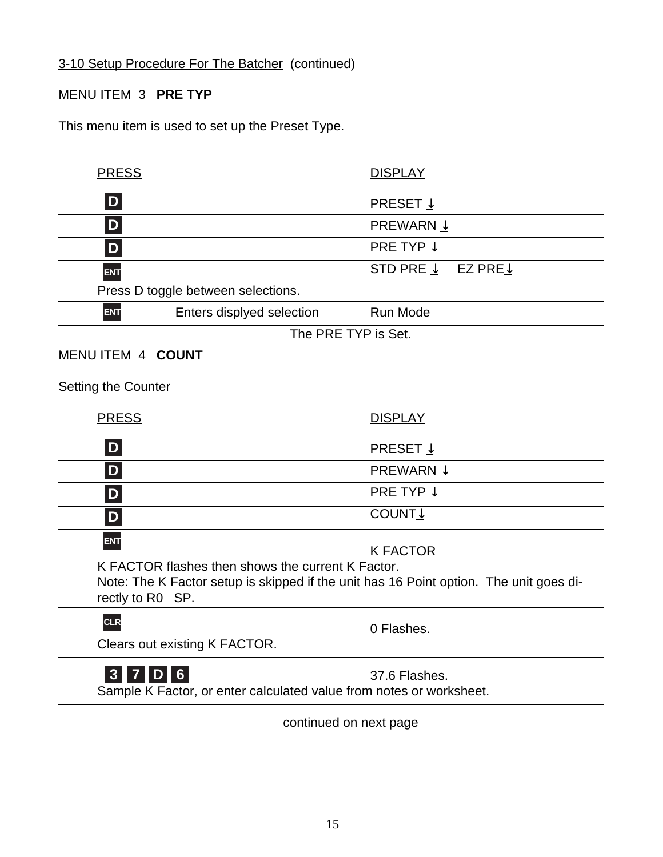3-10 Setup Procedure For The Batcher (continued)

# MENU ITEM 3 **PRE TYP**

This menu item is used to set up the Preset Type.

| <b>PRESS</b>               |                                                                     | <b>DISPLAY</b>                                                                         |
|----------------------------|---------------------------------------------------------------------|----------------------------------------------------------------------------------------|
| D                          |                                                                     | <b>PRESET</b> $\downarrow$                                                             |
| D                          |                                                                     | <b>PREWARN ↓</b>                                                                       |
| $\mathbf{D}$               |                                                                     | PRE TYP $\downarrow$                                                                   |
| <b>ENT</b>                 |                                                                     | STD PRE $\downarrow$<br>EZ PRE $\downarrow$                                            |
|                            | Press D toggle between selections.                                  |                                                                                        |
| <b>ENT</b>                 | Enters displyed selection                                           | <b>Run Mode</b>                                                                        |
|                            |                                                                     | The PRE TYP is Set.                                                                    |
| MENU ITEM 4 COUNT          |                                                                     |                                                                                        |
| <b>Setting the Counter</b> |                                                                     |                                                                                        |
| <b>PRESS</b>               |                                                                     | <b>DISPLAY</b>                                                                         |
| D                          |                                                                     | PRESET $\downarrow$                                                                    |
| D                          |                                                                     | <b>PREWARN ↓</b>                                                                       |
| $\mathbf{D}$               |                                                                     | PRE TYP $\downarrow$                                                                   |
| $\vert D \vert$            |                                                                     | <b>COUNT</b>                                                                           |
| <b>ENT</b>                 |                                                                     | <b>K FACTOR</b>                                                                        |
| rectly to R0 SP.           | K FACTOR flashes then shows the current K Factor.                   | Note: The K Factor setup is skipped if the unit has 16 Point option. The unit goes di- |
| <b>CLR</b>                 |                                                                     | 0 Flashes.                                                                             |
|                            | Clears out existing K FACTOR.                                       |                                                                                        |
| 3 <sub>1</sub><br>7<br>DI  | $6 \overline{6}$                                                    | 37.6 Flashes.                                                                          |
|                            | Sample K Factor, or enter calculated value from notes or worksheet. |                                                                                        |

continued on next page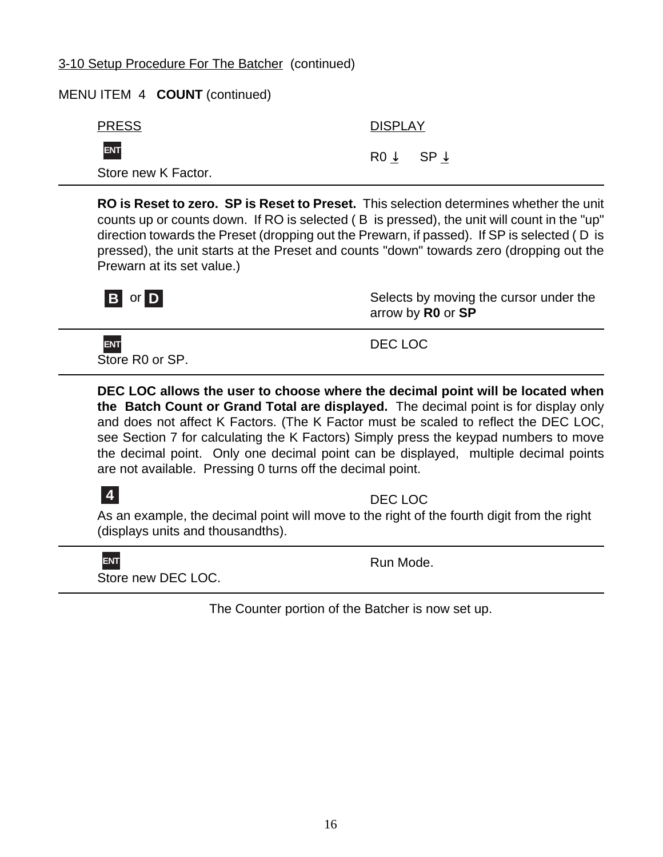# 3-10 Setup Procedure For The Batcher (continued)

# MENU ITEM 4 **COUNT** (continued)

| <b>PRESS</b>        | <b>DISPLAY</b> |
|---------------------|----------------|
| ENT                 | $ROV$ $SPV$    |
| Store new K Factor. |                |

**RO is Reset to zero. SP is Reset to Preset.** This selection determines whether the unit counts up or counts down. If RO is selected ( B is pressed), the unit will count in the "up" direction towards the Preset (dropping out the Prewarn, if passed). If SP is selected ( D is pressed), the unit starts at the Preset and counts "down" towards zero (dropping out the Prewarn at its set value.)



Selects by moving the cursor under the arrow by **R0** or **SP**

Store R0 or SP. **ENT**

DEC LOC

**DEC LOC allows the user to choose where the decimal point will be located when the Batch Count or Grand Total are displayed.** The decimal point is for display only and does not affect K Factors. (The K Factor must be scaled to reflect the DEC LOC, see Section 7 for calculating the K Factors) Simply press the keypad numbers to move the decimal point. Only one decimal point can be displayed, multiple decimal points are not available. Pressing 0 turns off the decimal point.



DEC LOC

As an example, the decimal point will move to the right of the fourth digit from the right (displays units and thousandths).

**ENT**

Run Mode.

Store new DEC LOC.

The Counter portion of the Batcher is now set up.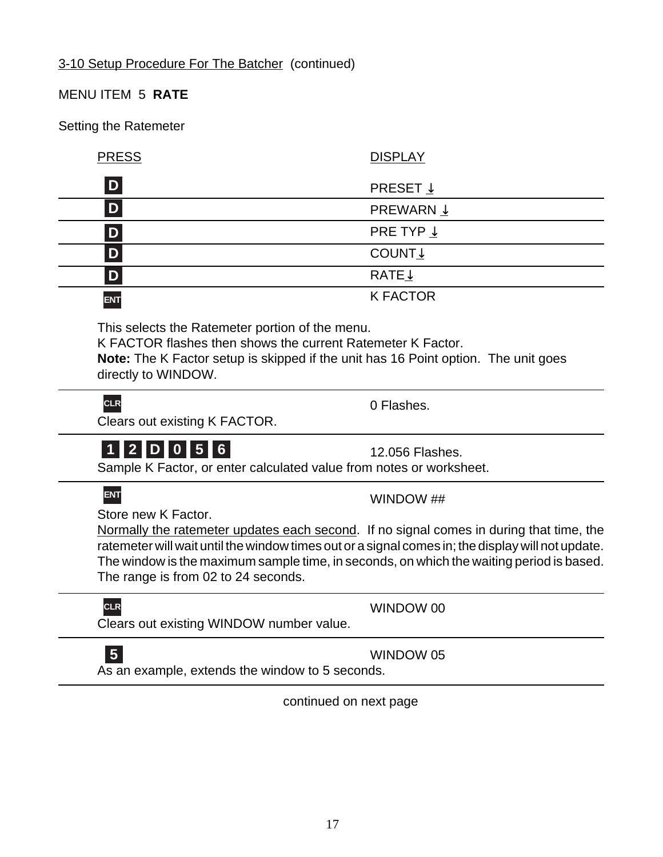PRESS DISPLAY

This selects the Ratemeter portion of the menu.

directly to WINDOW.

**CLR**

Clears out existing K FACTOR.

# **1 2 D 0 5 6**

Sample K Factor, or enter calculated value from notes or worksheet.

# **ENT**

Store new K Factor.

Normally the ratemeter updates each second. If no signal comes in during that time, the ratemeter will wait until the window times out or a signal comes in; the display will not update. The window is the maximum sample time, in seconds, on which the waiting period is based. The range is from 02 to 24 seconds.

Clears out existing WINDOW number value. **CLR**

As an example, extends the window to 5 seconds. **5**

continued on next page

# MENU ITEM 5 **RATE**

Setting the Ratemeter

**D**

**D**

**D**

**D**

**ENT**

**D**

K FACTOR flashes then shows the current Ratemeter K Factor.

**Note:** The K Factor setup is skipped if the unit has 16 Point option. The unit goes

WINDOW ##

**PRESET**  $\downarrow$ PREWARN ↓

PRE TYP ↓

K FACTOR

0 Flashes.

12.056 Flashes.

COUNT↓

RATE↓

WINDOW 05

WINDOW 00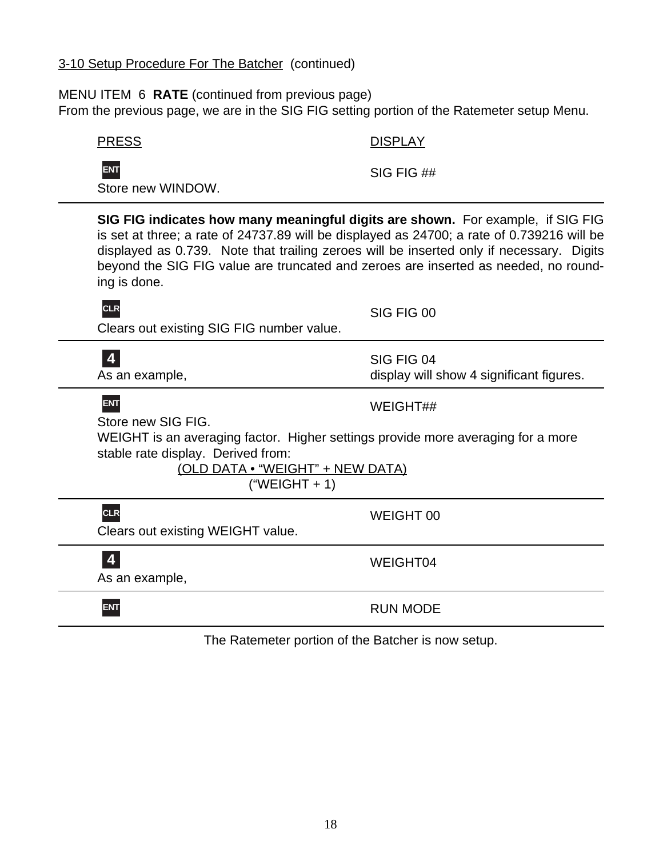# 3-10 Setup Procedure For The Batcher (continued)

# MENU ITEM 6 **RATE** (continued from previous page)

From the previous page, we are in the SIG FIG setting portion of the Ratemeter setup Menu.

| <b>PRESS</b>                                                                                                                                                                                                                                                                                                                                                                     | <b>DISPLAY</b>                                         |
|----------------------------------------------------------------------------------------------------------------------------------------------------------------------------------------------------------------------------------------------------------------------------------------------------------------------------------------------------------------------------------|--------------------------------------------------------|
| <b>ENT</b><br>Store new WINDOW.                                                                                                                                                                                                                                                                                                                                                  | SIG FIG ##                                             |
| SIG FIG indicates how many meaningful digits are shown. For example, if SIG FIG<br>is set at three; a rate of 24737.89 will be displayed as 24700; a rate of 0.739216 will be<br>displayed as 0.739. Note that trailing zeroes will be inserted only if necessary. Digits<br>beyond the SIG FIG value are truncated and zeroes are inserted as needed, no round-<br>ing is done. |                                                        |
| <b>CLR</b><br>Clears out existing SIG FIG number value.                                                                                                                                                                                                                                                                                                                          | SIG FIG 00                                             |
| $\overline{\mathbf{4}}$<br>As an example,                                                                                                                                                                                                                                                                                                                                        | SIG FIG 04<br>display will show 4 significant figures. |
| <b>ENT</b><br>Store new SIG FIG.                                                                                                                                                                                                                                                                                                                                                 | WEIGHT##                                               |
| WEIGHT is an averaging factor. Higher settings provide more averaging for a more<br>stable rate display. Derived from:<br>(OLD DATA . "WEIGHT" + NEW DATA)<br>$("WEIGHT + 1)$                                                                                                                                                                                                    |                                                        |
| <b>CLR</b><br>Clears out existing WEIGHT value.                                                                                                                                                                                                                                                                                                                                  | <b>WEIGHT 00</b>                                       |
| 4<br>As an example,                                                                                                                                                                                                                                                                                                                                                              | WEIGHT04                                               |
| <b>ENT</b>                                                                                                                                                                                                                                                                                                                                                                       | <b>RUN MODE</b>                                        |
| The Ratemeter portion of the Batcher is now setup.                                                                                                                                                                                                                                                                                                                               |                                                        |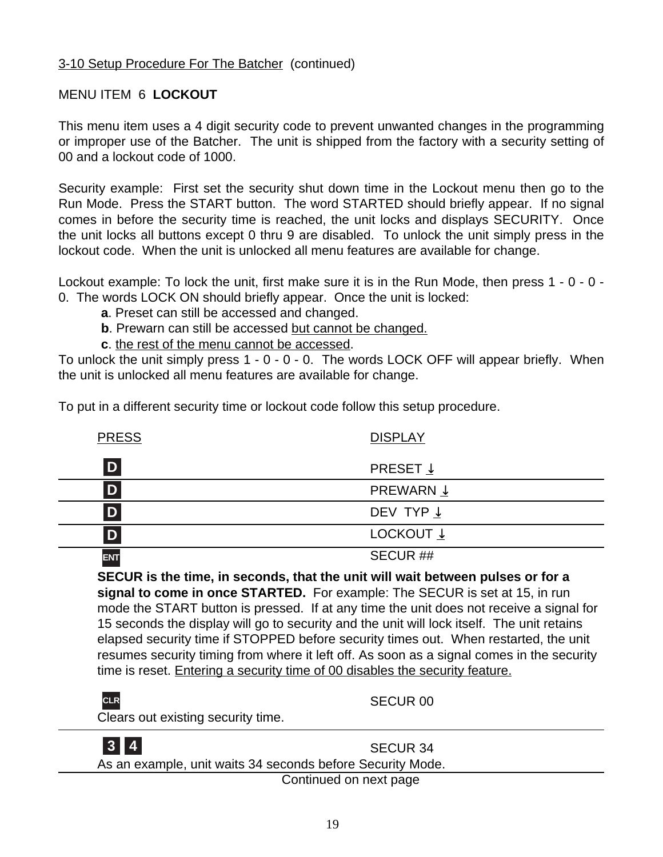# MENU ITEM 6 **LOCKOUT**

This menu item uses a 4 digit security code to prevent unwanted changes in the programming or improper use of the Batcher. The unit is shipped from the factory with a security setting of 00 and a lockout code of 1000.

Security example: First set the security shut down time in the Lockout menu then go to the Run Mode. Press the START button. The word STARTED should briefly appear. If no signal comes in before the security time is reached, the unit locks and displays SECURITY. Once the unit locks all buttons except 0 thru 9 are disabled. To unlock the unit simply press in the lockout code. When the unit is unlocked all menu features are available for change.

Lockout example: To lock the unit, first make sure it is in the Run Mode, then press 1 - 0 - 0 - 0. The words LOCK ON should briefly appear. Once the unit is locked:

- **a**. Preset can still be accessed and changed.
- **b**. Prewarn can still be accessed but cannot be changed.
- **c**. the rest of the menu cannot be accessed.

To unlock the unit simply press 1 - 0 - 0 - 0. The words LOCK OFF will appear briefly. When the unit is unlocked all menu features are available for change.

To put in a different security time or lockout code follow this setup procedure.

| <b>PRESS</b> | <b>DISPLAY</b>       |
|--------------|----------------------|
| D            | PRESET $\downarrow$  |
| D            | PREWARN $\downarrow$ |
| D            | DEV TYP $\downarrow$ |
|              | LOCKOUT $\downarrow$ |
| <b>ENT</b>   | SECUR##              |

**SECUR is the time, in seconds, that the unit will wait between pulses or for a signal to come in once STARTED.** For example: The SECUR is set at 15, in run mode the START button is pressed. If at any time the unit does not receive a signal for 15 seconds the display will go to security and the unit will lock itself. The unit retains elapsed security time if STOPPED before security times out. When restarted, the unit resumes security timing from where it left off. As soon as a signal comes in the security time is reset. Entering a security time of 00 disables the security feature.

| CLR<br>Clears out existing security time.                  | SECUR <sub>00</sub> |
|------------------------------------------------------------|---------------------|
| As an example, unit waits 34 seconds before Security Mode. | SECUR 34            |

Continued on next page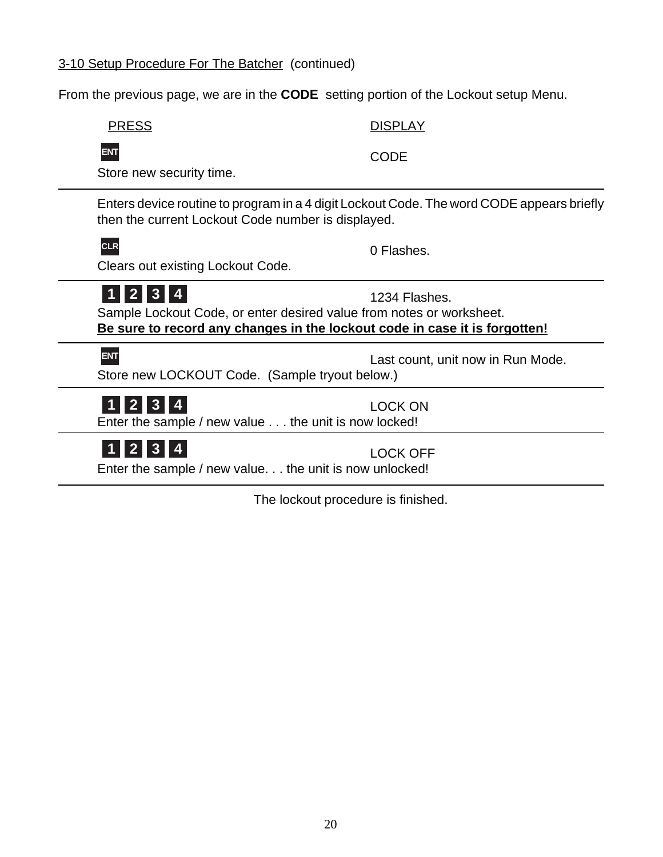# 3-10 Setup Procedure For The Batcher (continued)

From the previous page, we are in the **CODE** setting portion of the Lockout setup Menu.

PRESS DISPLAY



CODE

Store new security time.

Enters device routine to program in a 4 digit Lockout Code. The word CODE appears briefly then the current Lockout Code number is displayed.

# **CLR**

0 Flashes.

Clears out existing Lockout Code.

# **1 2 3 4**

1234 Flashes.

Sample Lockout Code, or enter desired value from notes or worksheet. **Be sure to record any changes in the lockout code in case it is forgotten!**

# **ENT**

Last count, unit now in Run Mode.

Store new LOCKOUT Code. (Sample tryout below.)

# **1 2 3 4**

LOCK ON

Enter the sample / new value . . . the unit is now locked!

**1 2 3 4**

LOCK OFF

Enter the sample / new value. . . the unit is now unlocked!

The lockout procedure is finished.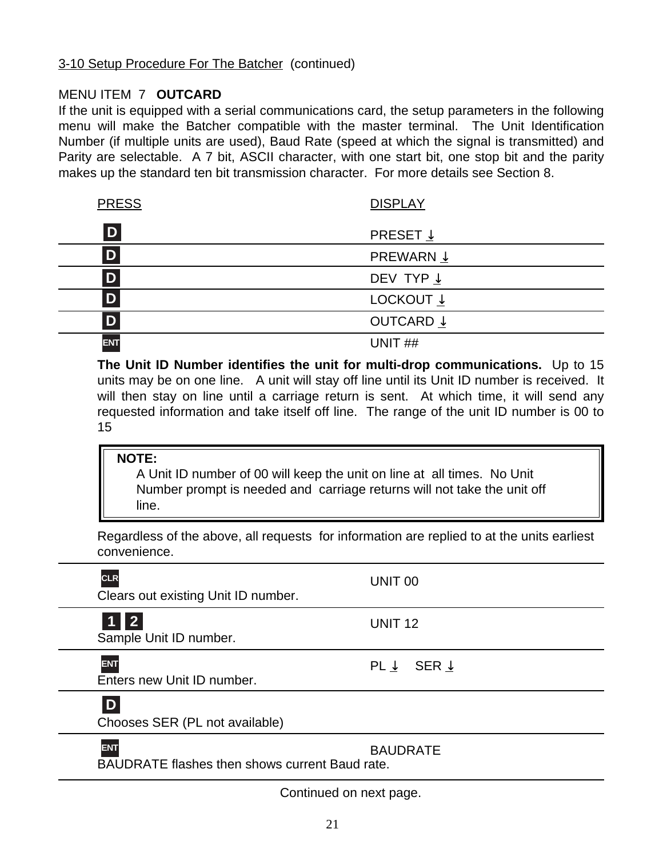# 3-10 Setup Procedure For The Batcher (continued)

# MENU ITEM 7 **OUTCARD**

If the unit is equipped with a serial communications card, the setup parameters in the following menu will make the Batcher compatible with the master terminal. The Unit Identification Number (if multiple units are used), Baud Rate (speed at which the signal is transmitted) and Parity are selectable. A 7 bit, ASCII character, with one start bit, one stop bit and the parity makes up the standard ten bit transmission character. For more details see Section 8.

| <b>PRESS</b> | <b>DISPLAY</b>       |
|--------------|----------------------|
| D            | PRESET $\downarrow$  |
| D            | PREWARN $\downarrow$ |
| D            | DEV TYP $\downarrow$ |
| D            | LOCKOUT $\downarrow$ |
|              | OUTCARD $\downarrow$ |
| <b>ENT</b>   | UNIT <sub>##</sub>   |

**The Unit ID Number identifies the unit for multi-drop communications.** Up to 15 units may be on one line. A unit will stay off line until its Unit ID number is received. It will then stay on line until a carriage return is sent. At which time, it will send any requested information and take itself off line. The range of the unit ID number is 00 to 15

#### **NOTE:**

A Unit ID number of 00 will keep the unit on line at all times. No Unit Number prompt is needed and carriage returns will not take the unit off line.

Regardless of the above, all requests for information are replied to at the units earliest convenience.

| <b>CLR</b><br>Clears out existing Unit ID number.                   | UNIT <sub>00</sub>               |
|---------------------------------------------------------------------|----------------------------------|
| $1$   2<br>Sample Unit ID number.                                   | UNIT <sub>12</sub>               |
| <b>ENT</b><br>Enters new Unit ID number.                            | PL $\downarrow$ SER $\downarrow$ |
| D<br>Chooses SER (PL not available)                                 |                                  |
| <b>ENT</b><br><b>BAUDRATE flashes then shows current Baud rate.</b> | <b>BAUDRATE</b>                  |

Continued on next page.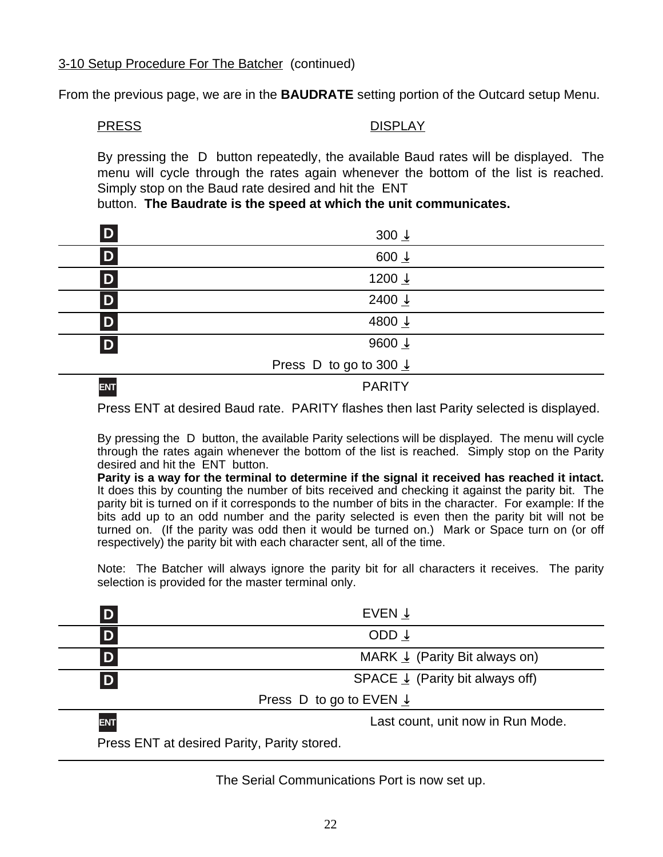From the previous page, we are in the **BAUDRATE** setting portion of the Outcard setup Menu.

#### PRESS DISPLAY

By pressing the D button repeatedly, the available Baud rates will be displayed. The menu will cycle through the rates again whenever the bottom of the list is reached. Simply stop on the Baud rate desired and hit the ENT

button. **The Baudrate is the speed at which the unit communicates.**

| D          | 300 $\frac{1}{2}$                 |  |
|------------|-----------------------------------|--|
| D          | 600 $\frac{1}{2}$                 |  |
| D          | 1200 ↓                            |  |
| D          | 2400 $\downarrow$                 |  |
| D          | 4800 $\downarrow$                 |  |
| D          | 9600 $\downarrow$                 |  |
|            | Press D to go to 300 $\downarrow$ |  |
| <b>ENT</b> | <b>PARITY</b>                     |  |

Press ENT at desired Baud rate. PARITY flashes then last Parity selected is displayed.

By pressing the D button, the available Parity selections will be displayed. The menu will cycle through the rates again whenever the bottom of the list is reached. Simply stop on the Parity desired and hit the ENT button.

**Parity is a way for the terminal to determine if the signal it received has reached it intact.** It does this by counting the number of bits received and checking it against the parity bit. The parity bit is turned on if it corresponds to the number of bits in the character. For example: If the bits add up to an odd number and the parity selected is even then the parity bit will not be turned on. (If the parity was odd then it would be turned on.) Mark or Space turn on (or off respectively) the parity bit with each character sent, all of the time.

Note: The Batcher will always ignore the parity bit for all characters it receives. The parity selection is provided for the master terminal only.

|            | EVEN $\downarrow$                          |
|------------|--------------------------------------------|
| D          | ODD $\downarrow$                           |
| D          | MARK $\perp$ (Parity Bit always on)        |
| D          | SPACE $\downarrow$ (Parity bit always off) |
|            | Press D to go to EVEN $\downarrow$         |
| <b>ENT</b> | Last count, unit now in Run Mode.          |

Press ENT at desired Parity, Parity stored.

The Serial Communications Port is now set up.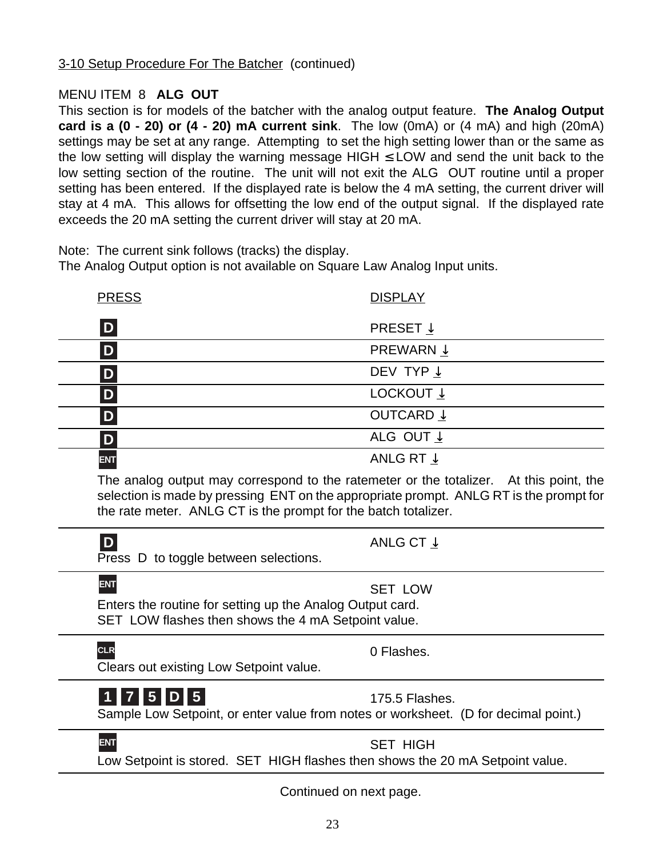# MENU ITEM 8 **ALG OUT**

This section is for models of the batcher with the analog output feature. **The Analog Output card is a (0 - 20) or (4 - 20) mA current sink**. The low (0mA) or (4 mA) and high (20mA) settings may be set at any range. Attempting to set the high setting lower than or the same as the low setting will display the warning message HIGH  $\leq$  LOW and send the unit back to the low setting section of the routine. The unit will not exit the ALG OUT routine until a proper setting has been entered. If the displayed rate is below the 4 mA setting, the current driver will stay at 4 mA. This allows for offsetting the low end of the output signal. If the displayed rate exceeds the 20 mA setting the current driver will stay at 20 mA.

Note: The current sink follows (tracks) the display.

The Analog Output option is not available on Square Law Analog Input units.

| <b>PRESS</b>         | <b>DISPLAY</b>       |
|----------------------|----------------------|
| $\boxed{\mathsf{D}}$ | PRESET $\downarrow$  |
| D                    | PREWARN $\downarrow$ |
| D                    | DEV TYP $\downarrow$ |
| D                    | LOCKOUT $\downarrow$ |
| D                    | OUTCARD $\downarrow$ |
| D                    | ALG OUT $\downarrow$ |
| <b>ENT</b>           | ANLG RT $\downarrow$ |

The analog output may correspond to the ratemeter or the totalizer. At this point, the selection is made by pressing ENT on the appropriate prompt. ANLG RT is the prompt for the rate meter. ANLG CT is the prompt for the batch totalizer.

| D<br>Press D to toggle between selections.                                                                                     | ANLG CT $\downarrow$ |
|--------------------------------------------------------------------------------------------------------------------------------|----------------------|
| <b>ENT</b><br>Enters the routine for setting up the Analog Output card.<br>SET LOW flashes then shows the 4 mA Setpoint value. | <b>SET LOW</b>       |
| <b>CLR</b><br>Clears out existing Low Setpoint value.                                                                          | 0 Flashes.           |
| 1 7 5 D 5<br>Sample Low Setpoint, or enter value from notes or worksheet. (D for decimal point.)                               | 175.5 Flashes.       |
| <b>ENT</b><br>Low Setpoint is stored. SET HIGH flashes then shows the 20 mA Setpoint value.                                    | <b>SET HIGH</b>      |
| Continued on next page.                                                                                                        |                      |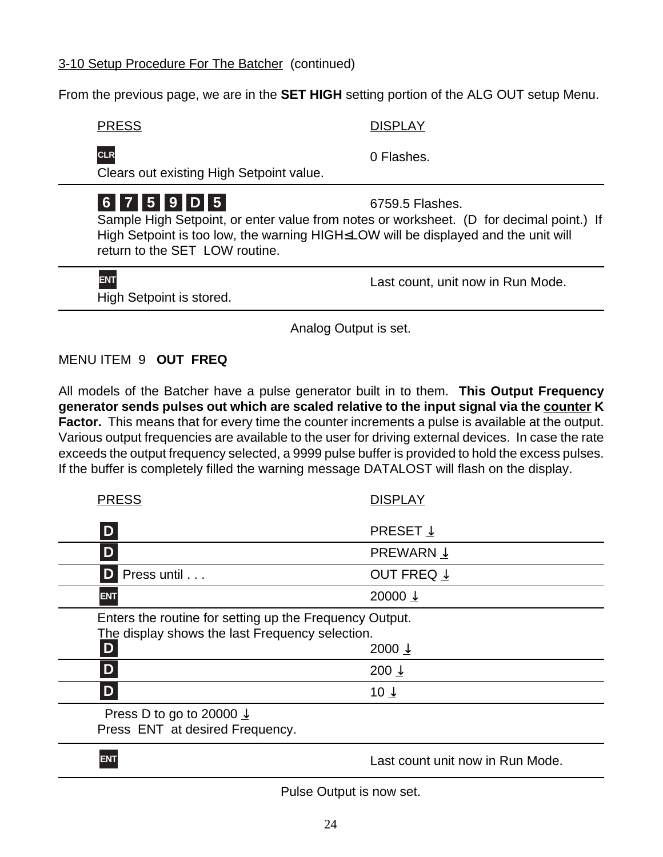# 3-10 Setup Procedure For The Batcher (continued)

From the previous page, we are in the **SET HIGH** setting portion of the ALG OUT setup Menu.

PRESS DISPLAY

**CLR**

Clears out existing High Setpoint value.

# **6 7 5 9 D 5**

6759.5 Flashes.

0 Flashes.

Sample High Setpoint, or enter value from notes or worksheet. (D for decimal point.) If High Setpoint is too low, the warning HIGH≤LOW will be displayed and the unit will return to the SET LOW routine.

High Setpoint is stored. **ENT**

Last count, unit now in Run Mode.

Analog Output is set.

# MENU ITEM 9 **OUT FREQ**

All models of the Batcher have a pulse generator built in to them. **This Output Frequency generator sends pulses out which are scaled relative to the input signal via the counter K Factor.** This means that for every time the counter increments a pulse is available at the output. Various output frequencies are available to the user for driving external devices. In case the rate exceeds the output frequency selected, a 9999 pulse buffer is provided to hold the excess pulses. If the buffer is completely filled the warning message DATALOST will flash on the display.

| <b>PRESS</b>                                                                                               | <b>DISPLAY</b>                   |
|------------------------------------------------------------------------------------------------------------|----------------------------------|
| D                                                                                                          | PRESET $\downarrow$              |
| D                                                                                                          | <b>PREWARN ↓</b>                 |
| D Press until                                                                                              | OUT FREQ $\downarrow$            |
| <b>ENT</b>                                                                                                 | 20000 $\downarrow$               |
| Enters the routine for setting up the Frequency Output.<br>The display shows the last Frequency selection. |                                  |
| D                                                                                                          | 2000 $\downarrow$                |
| D                                                                                                          | 200 $\downarrow$                 |
| D                                                                                                          | 10 $\downarrow$                  |
| Press D to go to 20000 $\downarrow$<br>Press ENT at desired Frequency.                                     |                                  |
| <b>ENT</b>                                                                                                 | Last count unit now in Run Mode. |

Pulse Output is now set.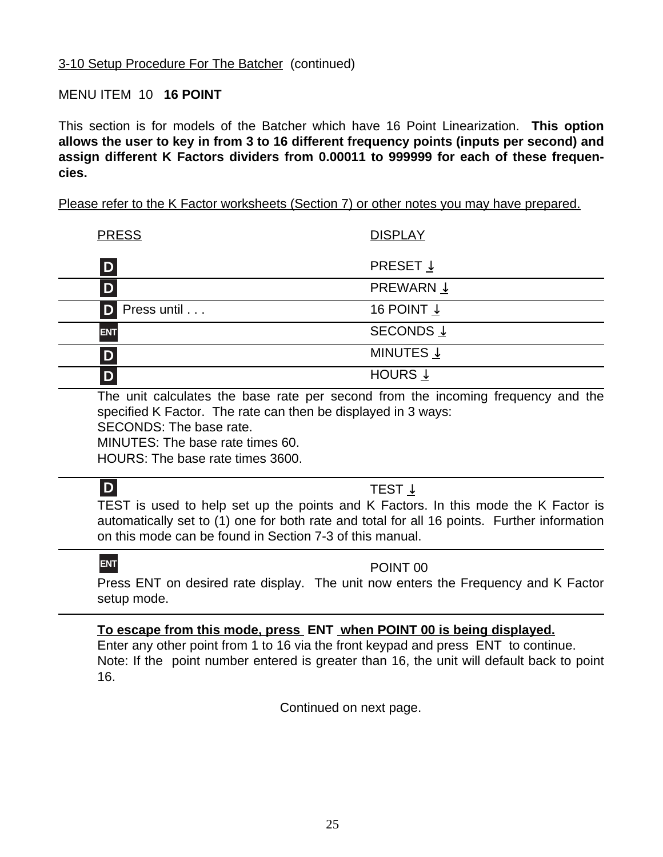# MENU ITEM 10 **16 POINT**

This section is for models of the Batcher which have 16 Point Linearization. **This option allows the user to key in from 3 to 16 different frequency points (inputs per second) and assign different K Factors dividers from 0.00011 to 999999 for each of these frequencies.**

Please refer to the K Factor worksheets (Section 7) or other notes you may have prepared.

| <b>PRESS</b>  | <b>DISPLAY</b>        |
|---------------|-----------------------|
| D             | PRESET $\downarrow$   |
| D             | PREWARN $\downarrow$  |
| D Press until | 16 POINT $\downarrow$ |
| <b>ENT</b>    | SECONDS $\downarrow$  |
| D             | MINUTES $\downarrow$  |
|               | HOURS $\downarrow$    |

The unit calculates the base rate per second from the incoming frequency and the specified K Factor. The rate can then be displayed in 3 ways:

SECONDS: The base rate.

MINUTES: The base rate times 60.

HOURS: The base rate times 3600.

# **D**

# TEST ↓

TEST is used to help set up the points and K Factors. In this mode the K Factor is automatically set to (1) one for both rate and total for all 16 points. Further information on this mode can be found in Section 7-3 of this manual.

# **ENT**

# POINT 00

Press ENT on desired rate display. The unit now enters the Frequency and K Factor setup mode.

# **To escape from this mode, press ENT when POINT 00 is being displayed.**

Enter any other point from 1 to 16 via the front keypad and press ENT to continue. Note: If the point number entered is greater than 16, the unit will default back to point 16.

Continued on next page.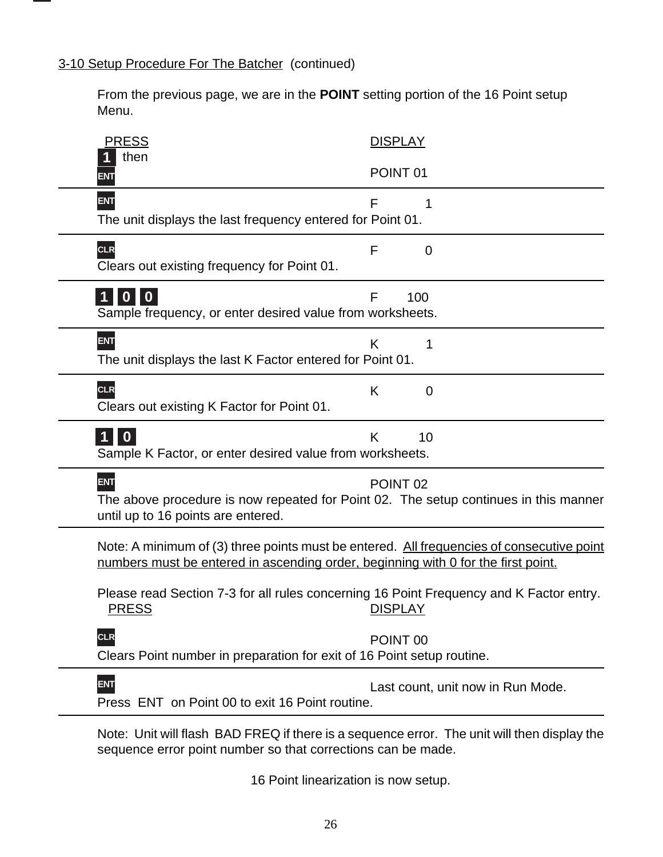# 3-10 Setup Procedure For The Batcher (continued)

From the previous page, we are in the **POINT** setting portion of the 16 Point setup Menu.

| <b>PRESS</b>                                                                                                                                                                   | <b>DISPLAY</b>                    |
|--------------------------------------------------------------------------------------------------------------------------------------------------------------------------------|-----------------------------------|
| then<br>ENT                                                                                                                                                                    | POINT <sub>01</sub>               |
| <b>ENT</b><br>The unit displays the last frequency entered for Point 01.                                                                                                       | F<br>1                            |
| <b>CLR</b><br>Clears out existing frequency for Point 01.                                                                                                                      | F<br>$\overline{0}$               |
| $0$   0<br>1 II<br>Sample frequency, or enter desired value from worksheets.                                                                                                   | F<br>100                          |
| <b>ENT</b><br>The unit displays the last K Factor entered for Point 01.                                                                                                        | K                                 |
| <b>CLR</b><br>Clears out existing K Factor for Point 01.                                                                                                                       | K<br>$\mathbf 0$                  |
| $\mathbf{0}$<br>Sample K Factor, or enter desired value from worksheets.                                                                                                       | K<br>10                           |
| <b>ENT</b><br>The above procedure is now repeated for Point 02. The setup continues in this manner<br>until up to 16 points are entered.                                       | POINT <sub>02</sub>               |
| Note: A minimum of (3) three points must be entered. All frequencies of consecutive point<br>numbers must be entered in ascending order, beginning with 0 for the first point. |                                   |
| Please read Section 7-3 for all rules concerning 16 Point Frequency and K Factor entry.<br><u>PRESS</u>                                                                        | <b>DISPLAY</b>                    |
| <b>CLR</b><br>Clears Point number in preparation for exit of 16 Point setup routine.                                                                                           | POINT <sub>00</sub>               |
| <b>ENT</b><br>Press ENT on Point 00 to exit 16 Point routine.                                                                                                                  | Last count, unit now in Run Mode. |
| Note: Unit will flash BAD FREQ if there is a sequence error. The unit will then display the<br>sequence error point number so that corrections can be made.                    |                                   |

16 Point linearization is now setup.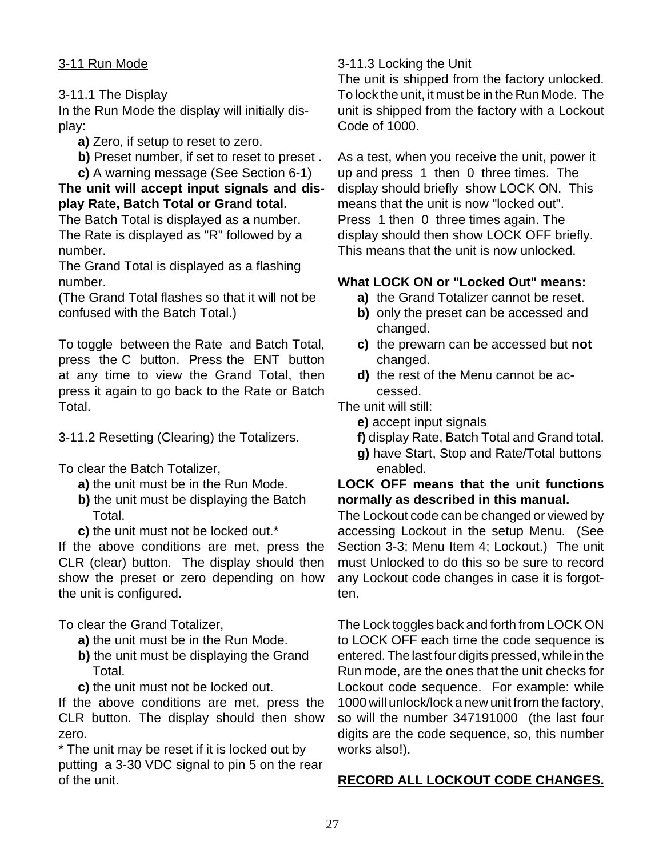# 3-11 Run Mode

# 3-11.1 The Display

In the Run Mode the display will initially display:

- **a)** Zero, if setup to reset to zero.
- **b)** Preset number, if set to reset to preset.
- **c)** A warning message (See Section 6-1)

# **The unit will accept input signals and display Rate, Batch Total or Grand total.**

The Batch Total is displayed as a number. The Rate is displayed as "R" followed by a number.

The Grand Total is displayed as a flashing number.

(The Grand Total flashes so that it will not be confused with the Batch Total.)

To toggle between the Rate and Batch Total, press the C button. Press the ENT button at any time to view the Grand Total, then press it again to go back to the Rate or Batch Total.

3-11.2 Resetting (Clearing) the Totalizers.

To clear the Batch Totalizer,

- **a)** the unit must be in the Run Mode.
- **b)** the unit must be displaying the Batch Total.
- **c)** the unit must not be locked out.\*

If the above conditions are met, press the CLR (clear) button. The display should then show the preset or zero depending on how the unit is configured.

To clear the Grand Totalizer,

- **a)** the unit must be in the Run Mode.
- **b)** the unit must be displaying the Grand Total.
- **c)** the unit must not be locked out.

If the above conditions are met, press the CLR button. The display should then show zero.

\* The unit may be reset if it is locked out by putting a 3-30 VDC signal to pin 5 on the rear of the unit.

# 3-11.3 Locking the Unit

The unit is shipped from the factory unlocked. To lock the unit, it must be in the Run Mode. The unit is shipped from the factory with a Lockout Code of 1000.

As a test, when you receive the unit, power it up and press 1 then 0 three times. The display should briefly show LOCK ON. This means that the unit is now "locked out". Press 1 then 0 three times again. The display should then show LOCK OFF briefly. This means that the unit is now unlocked.

# **What LOCK ON or "Locked Out" means:**

- **a)** the Grand Totalizer cannot be reset.
- **b)** only the preset can be accessed and changed.
- **c)** the prewarn can be accessed but **not** changed.
- **d)** the rest of the Menu cannot be accessed.

The unit will still:

- **e)** accept input signals
- **f)** display Rate, Batch Total and Grand total.
- **g)** have Start, Stop and Rate/Total buttons enabled.

# **LOCK OFF means that the unit functions normally as described in this manual.**

The Lockout code can be changed or viewed by accessing Lockout in the setup Menu. (See Section 3-3; Menu Item 4; Lockout.) The unit must Unlocked to do this so be sure to record any Lockout code changes in case it is forgotten.

The Lock toggles back and forth from LOCK ON to LOCK OFF each time the code sequence is entered. The last four digits pressed, while in the Run mode, are the ones that the unit checks for Lockout code sequence. For example: while 1000 will unlock/lock a new unit from the factory, so will the number 347191000 (the last four digits are the code sequence, so, this number works also!).

# **RECORD ALL LOCKOUT CODE CHANGES.**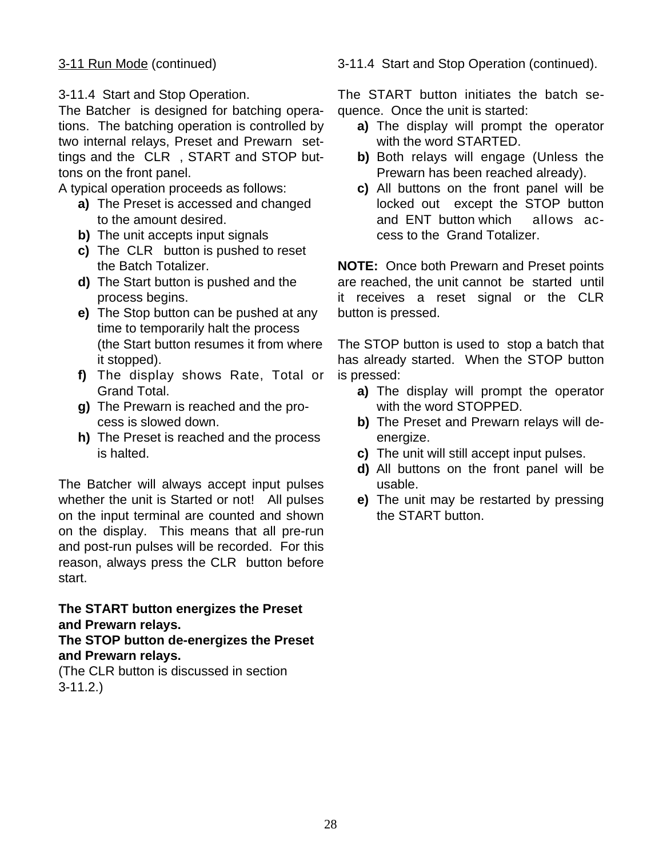# 3-11 Run Mode (continued)

3-11.4 Start and Stop Operation.

The Batcher is designed for batching operations. The batching operation is controlled by two internal relays, Preset and Prewarn settings and the CLR , START and STOP buttons on the front panel.

A typical operation proceeds as follows:

- **a)** The Preset is accessed and changed to the amount desired.
- **b)** The unit accepts input signals
- **c)** The CLR button is pushed to reset the Batch Totalizer.
- **d)** The Start button is pushed and the process begins.
- **e)** The Stop button can be pushed at any time to temporarily halt the process (the Start button resumes it from where it stopped).
- **f)** The display shows Rate, Total or Grand Total.
- **g)** The Prewarn is reached and the process is slowed down.
- **h)** The Preset is reached and the process is halted.

The Batcher will always accept input pulses whether the unit is Started or not! All pulses on the input terminal are counted and shown on the display. This means that all pre-run and post-run pulses will be recorded. For this reason, always press the CLR button before start.

**The START button energizes the Preset and Prewarn relays.**

**The STOP button de-energizes the Preset and Prewarn relays.**

(The CLR button is discussed in section 3-11.2.)

3-11.4 Start and Stop Operation (continued).

The START button initiates the batch sequence. Once the unit is started:

- **a)** The display will prompt the operator with the word STARTED.
- **b)** Both relays will engage (Unless the Prewarn has been reached already).
- **c)** All buttons on the front panel will be locked out except the STOP button and ENT button which allows access to the Grand Totalizer.

**NOTE:** Once both Prewarn and Preset points are reached, the unit cannot be started until it receives a reset signal or the CLR button is pressed.

The STOP button is used to stop a batch that has already started. When the STOP button is pressed:

- **a)** The display will prompt the operator with the word STOPPED.
- **b)** The Preset and Prewarn relays will deenergize.
- **c)** The unit will still accept input pulses.
- **d)** All buttons on the front panel will be usable.
- **e)** The unit may be restarted by pressing the START button.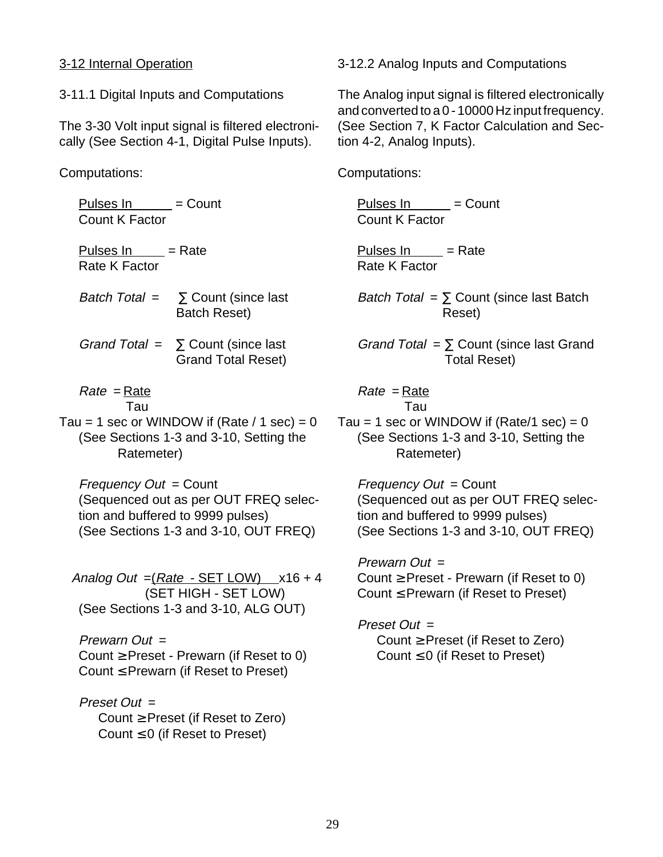# 3-12 Internal Operation

3-11.1 Digital Inputs and Computations

The 3-30 Volt input signal is filtered electronically (See Section 4-1, Digital Pulse Inputs).

Computations:

Pulses  $\ln$  = Count Count K Factor Pulses  $\ln$  = Rate Rate K Factor Batch Total =  $\Sigma$  Count (since last Batch Reset) Grand Total =  $\sum$  Count (since last Grand Total Reset) Rate = Rate Tau Tau = 1 sec or WINDOW if (Rate  $/ 1$  sec) = 0 (See Sections 1-3 and 3-10, Setting the Ratemeter) Frequency Out = Count (Sequenced out as per OUT FREQ selection and buffered to 9999 pulses) (See Sections 1-3 and 3-10, OUT FREQ) Analog Out  $=(Rate - SET$  LOW)  $x16 + 4$ (SET HIGH - SET LOW) (See Sections 1-3 and 3-10, ALG OUT) Prewarn  $Out =$ Count  $\geq$  Preset - Prewarn (if Reset to 0) Count  $\leq$  Prewarn (if Reset to Preset) Preset Out = Count  $\geq$  Preset (if Reset to Zero)

Count  $\leq 0$  (if Reset to Preset)

3-12.2 Analog Inputs and Computations

The Analog input signal is filtered electronically and converted to a 0 - 10000 Hz input frequency. (See Section 7, K Factor Calculation and Section 4-2, Analog Inputs).

Computations:

Pulses  $\ln$  = Count Count K Factor

Pulses  $\ln$  = Rate Rate K Factor

Batch Total =  $\Sigma$  Count (since last Batch Reset)

Grand Total =  $\Sigma$  Count (since last Grand Total Reset)

$$
Rate = \frac{Rate}{Time}
$$

Tau

Tau = 1 sec or WINDOW if (Rate/1 sec) =  $0$ (See Sections 1-3 and 3-10, Setting the Ratemeter)

 $Frequency Out = Count$ (Sequenced out as per OUT FREQ selection and buffered to 9999 pulses) (See Sections 1-3 and 3-10, OUT FREQ)

Prewarn Out = Count  $\geq$  Preset - Prewarn (if Reset to 0) Count  $\leq$  Prewarn (if Reset to Preset)

Preset Out = Count  $\geq$  Preset (if Reset to Zero) Count  $\leq 0$  (if Reset to Preset)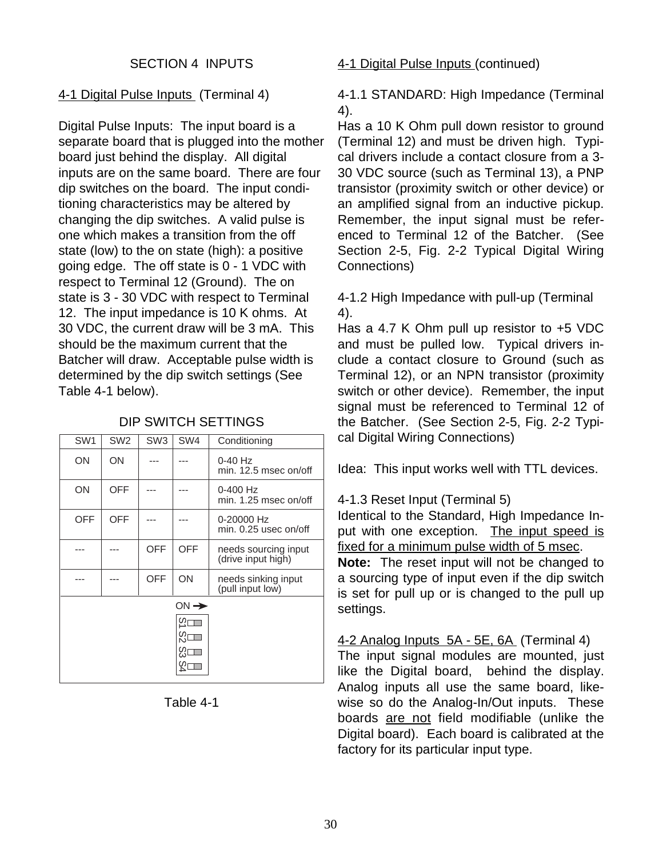# 4-1 Digital Pulse Inputs (Terminal 4)

Digital Pulse Inputs: The input board is a separate board that is plugged into the mother board just behind the display. All digital inputs are on the same board. There are four dip switches on the board. The input conditioning characteristics may be altered by changing the dip switches. A valid pulse is one which makes a transition from the off state (low) to the on state (high): a positive going edge. The off state is 0 - 1 VDC with respect to Terminal 12 (Ground). The on state is 3 - 30 VDC with respect to Terminal 12. The input impedance is 10 K ohms. At 30 VDC, the current draw will be 3 mA. This should be the maximum current that the Batcher will draw. Acceptable pulse width is determined by the dip switch settings (See Table 4-1 below).

| DIP SWITCH SETTINGS |  |
|---------------------|--|
|---------------------|--|

| SW <sub>1</sub> | SW <sub>2</sub> | SW <sub>3</sub> | SW4              | Conditioning                               |
|-----------------|-----------------|-----------------|------------------|--------------------------------------------|
| ΟN              | ΟN              |                 |                  | $0-40$ Hz<br>min. 12.5 msec on/off         |
| ON              | <b>OFF</b>      |                 |                  | $0 - 400$ Hz<br>min. 1.25 msec on/off      |
| <b>OFF</b>      | OFF             |                 |                  | 0-20000 Hz<br>$min. 0.25$ usec on/off      |
|                 |                 | <b>OFF</b>      | OFF              | needs sourcing input<br>(drive input high) |
|                 |                 | <b>OFF</b>      | ON               | needs sinking input<br>(pull input low)    |
|                 |                 |                 | $ON \rightarrow$ |                                            |
|                 |                 |                 | က္ခု             |                                            |
|                 |                 |                 | တ္လ              |                                            |
|                 |                 |                 | တ္ယ              |                                            |
|                 |                 |                 |                  |                                            |

# Table 4-1

#### 4-1 Digital Pulse Inputs (continued)

4-1.1 STANDARD: High Impedance (Terminal 4).

Has a 10 K Ohm pull down resistor to ground (Terminal 12) and must be driven high. Typical drivers include a contact closure from a 3- 30 VDC source (such as Terminal 13), a PNP transistor (proximity switch or other device) or an amplified signal from an inductive pickup. Remember, the input signal must be referenced to Terminal 12 of the Batcher. (See Section 2-5, Fig. 2-2 Typical Digital Wiring Connections)

4-1.2 High Impedance with pull-up (Terminal 4).

Has a 4.7 K Ohm pull up resistor to +5 VDC and must be pulled low. Typical drivers include a contact closure to Ground (such as Terminal 12), or an NPN transistor (proximity switch or other device). Remember, the input signal must be referenced to Terminal 12 of the Batcher. (See Section 2-5, Fig. 2-2 Typical Digital Wiring Connections)

Idea: This input works well with TTL devices.

# 4-1.3 Reset Input (Terminal 5)

Identical to the Standard, High Impedance Input with one exception. The input speed is fixed for a minimum pulse width of 5 msec.

**Note:** The reset input will not be changed to a sourcing type of input even if the dip switch is set for pull up or is changed to the pull up settings.

4-2 Analog Inputs 5A - 5E, 6A (Terminal 4) The input signal modules are mounted, just like the Digital board, behind the display. Analog inputs all use the same board, likewise so do the Analog-In/Out inputs. These boards are not field modifiable (unlike the Digital board). Each board is calibrated at the factory for its particular input type.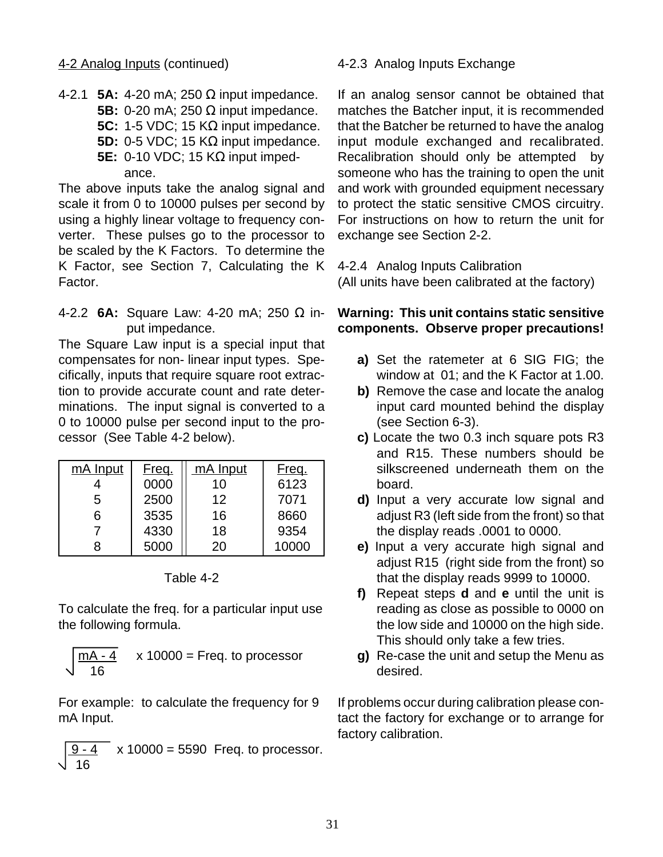#### 4-2 Analog Inputs (continued)

4-2.1 **5A:** 4-20 mA; 250 Ω input impedance. **5B:** 0-20 mA; 250 Ω input impedance. **5C:** 1-5 VDC; 15 KΩ input impedance. **5D:** 0-5 VDC; 15 KΩ input impedance. **5E:** 0-10 VDC; 15 KΩ input impedance.

The above inputs take the analog signal and scale it from 0 to 10000 pulses per second by using a highly linear voltage to frequency converter. These pulses go to the processor to be scaled by the K Factors. To determine the K Factor, see Section 7, Calculating the K Factor.

#### 4-2.2 **6A:** Square Law: 4-20 mA; 250 Ω input impedance.

The Square Law input is a special input that compensates for non- linear input types. Specifically, inputs that require square root extraction to provide accurate count and rate determinations. The input signal is converted to a 0 to 10000 pulse per second input to the processor (See Table 4-2 below).

| mA Input | Freq. | mA Input | Freq. |
|----------|-------|----------|-------|
|          | 0000  | 10       | 6123  |
| 5        | 2500  | 12       | 7071  |
| հ        | 3535  | 16       | 8660  |
|          | 4330  | 18       | 9354  |
|          | 5000  | 20       | 10000 |

Table 4-2

To calculate the freq. for a particular input use the following formula.

$$
\sqrt{\frac{mA - 4}{16}}
$$
 x 10000 = Freq. to processor

For example: to calculate the frequency for 9 mA Input.

 $x 10000 = 5590$  Freq. to processor. 16

# 4-2.3 Analog Inputs Exchange

If an analog sensor cannot be obtained that matches the Batcher input, it is recommended that the Batcher be returned to have the analog input module exchanged and recalibrated. Recalibration should only be attempted by someone who has the training to open the unit and work with grounded equipment necessary to protect the static sensitive CMOS circuitry. For instructions on how to return the unit for exchange see Section 2-2.

4-2.4 Analog Inputs Calibration (All units have been calibrated at the factory)

# **Warning: This unit contains static sensitive components. Observe proper precautions!**

- **a)** Set the ratemeter at 6 SIG FIG; the window at 01; and the K Factor at 1.00.
- **b)** Remove the case and locate the analog input card mounted behind the display (see Section 6-3).
- **c)** Locate the two 0.3 inch square pots R3 and R15. These numbers should be silkscreened underneath them on the board.
- **d)** Input a very accurate low signal and adjust R3 (left side from the front) so that the display reads .0001 to 0000.
- **e)** Input a very accurate high signal and adjust R15 (right side from the front) so that the display reads 9999 to 10000.
- **f)** Repeat steps **d** and **e** until the unit is reading as close as possible to 0000 on the low side and 10000 on the high side. This should only take a few tries.
- **g)** Re-case the unit and setup the Menu as desired.

If problems occur during calibration please contact the factory for exchange or to arrange for factory calibration.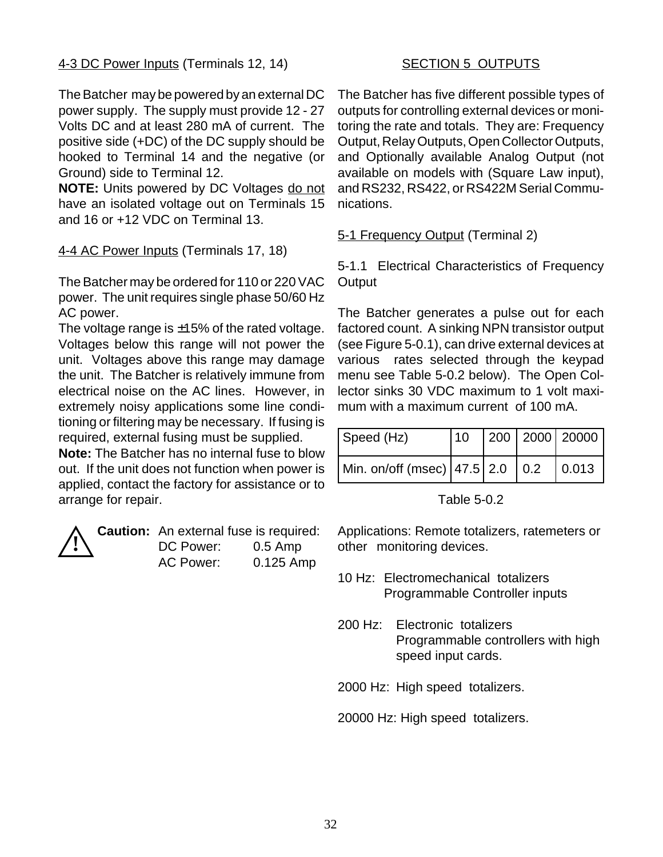# 4-3 DC Power Inputs (Terminals 12, 14)

The Batcher may be powered by an external DC power supply. The supply must provide 12 - 27 Volts DC and at least 280 mA of current. The positive side (+DC) of the DC supply should be hooked to Terminal 14 and the negative (or Ground) side to Terminal 12.

**NOTE:** Units powered by DC Voltages do not have an isolated voltage out on Terminals 15 and 16 or +12 VDC on Terminal 13.

4-4 AC Power Inputs (Terminals 17, 18)

The Batcher may be ordered for 110 or 220 VAC power. The unit requires single phase 50/60 Hz AC power.

The voltage range is  $\pm 15\%$  of the rated voltage. Voltages below this range will not power the unit. Voltages above this range may damage the unit. The Batcher is relatively immune from electrical noise on the AC lines. However, in extremely noisy applications some line conditioning or filtering may be necessary. If fusing is required, external fusing must be supplied.

**Note:** The Batcher has no internal fuse to blow out. If the unit does not function when power is applied, contact the factory for assistance or to arrange for repair.



**Caution:** An external fuse is required: DC Power: 0.5 Amp AC Power: 0.125 Amp

# **SECTION 5 OUTPUTS**

The Batcher has five different possible types of outputs for controlling external devices or monitoring the rate and totals. They are: Frequency Output, Relay Outputs, Open Collector Outputs, and Optionally available Analog Output (not available on models with (Square Law input), and RS232, RS422, or RS422M Serial Communications.

5-1 Frequency Output (Terminal 2)

5-1.1 Electrical Characteristics of Frequency **Output** 

The Batcher generates a pulse out for each factored count. A sinking NPN transistor output (see Figure 5-0.1), can drive external devices at various rates selected through the keypad menu see Table 5-0.2 below). The Open Collector sinks 30 VDC maximum to 1 volt maximum with a maximum current of 100 mA.

| Speed (Hz)                                    |  |  |
|-----------------------------------------------|--|--|
| Min. on/off (msec)   47.5   2.0   0.2   0.013 |  |  |

Table 5-0.2

Applications: Remote totalizers, ratemeters or other monitoring devices.

- 10 Hz: Electromechanical totalizers Programmable Controller inputs
- 200 Hz: Electronic totalizers Programmable controllers with high speed input cards.

2000 Hz: High speed totalizers.

20000 Hz: High speed totalizers.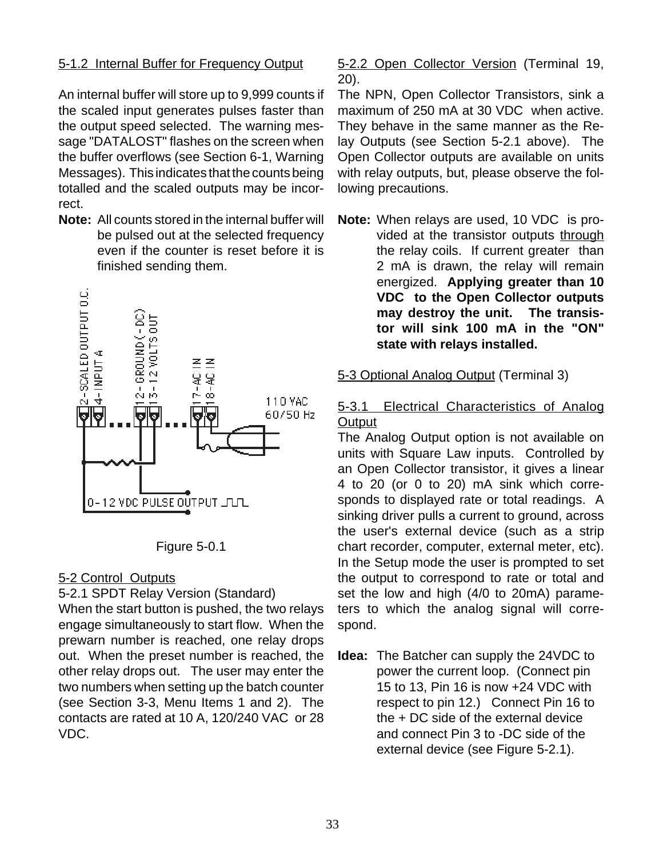# 5-1.2 Internal Buffer for Frequency Output

An internal buffer will store up to 9,999 counts if the scaled input generates pulses faster than the output speed selected. The warning message "DATALOST" flashes on the screen when the buffer overflows (see Section 6-1, Warning Messages). This indicates that the counts being totalled and the scaled outputs may be incorrect.

**Note:** All counts stored in the internal buffer will be pulsed out at the selected frequency even if the counter is reset before it is finished sending them.



Figure 5-0.1

# 5-2 Control Outputs

#### 5-2.1 SPDT Relay Version (Standard)

When the start button is pushed, the two relays engage simultaneously to start flow. When the prewarn number is reached, one relay drops out. When the preset number is reached, the other relay drops out. The user may enter the two numbers when setting up the batch counter (see Section 3-3, Menu Items 1 and 2). The contacts are rated at 10 A, 120/240 VAC or 28 VDC.

#### 5-2.2 Open Collector Version (Terminal 19, 20).

The NPN, Open Collector Transistors, sink a maximum of 250 mA at 30 VDC when active. They behave in the same manner as the Relay Outputs (see Section 5-2.1 above). The Open Collector outputs are available on units with relay outputs, but, please observe the following precautions.

**Note:** When relays are used, 10 VDC is provided at the transistor outputs through the relay coils. If current greater than 2 mA is drawn, the relay will remain energized. **Applying greater than 10 VDC to the Open Collector outputs may destroy the unit. The transistor will sink 100 mA in the "ON" state with relays installed.**

# 5-3 Optional Analog Output (Terminal 3)

# 5-3.1 Electrical Characteristics of Analog **Output**

The Analog Output option is not available on units with Square Law inputs. Controlled by an Open Collector transistor, it gives a linear 4 to 20 (or 0 to 20) mA sink which corresponds to displayed rate or total readings. A sinking driver pulls a current to ground, across the user's external device (such as a strip chart recorder, computer, external meter, etc). In the Setup mode the user is prompted to set the output to correspond to rate or total and set the low and high (4/0 to 20mA) parameters to which the analog signal will correspond.

**Idea:** The Batcher can supply the 24VDC to power the current loop. (Connect pin 15 to 13, Pin 16 is now +24 VDC with respect to pin 12.) Connect Pin 16 to the + DC side of the external device and connect Pin 3 to -DC side of the external device (see Figure 5-2.1).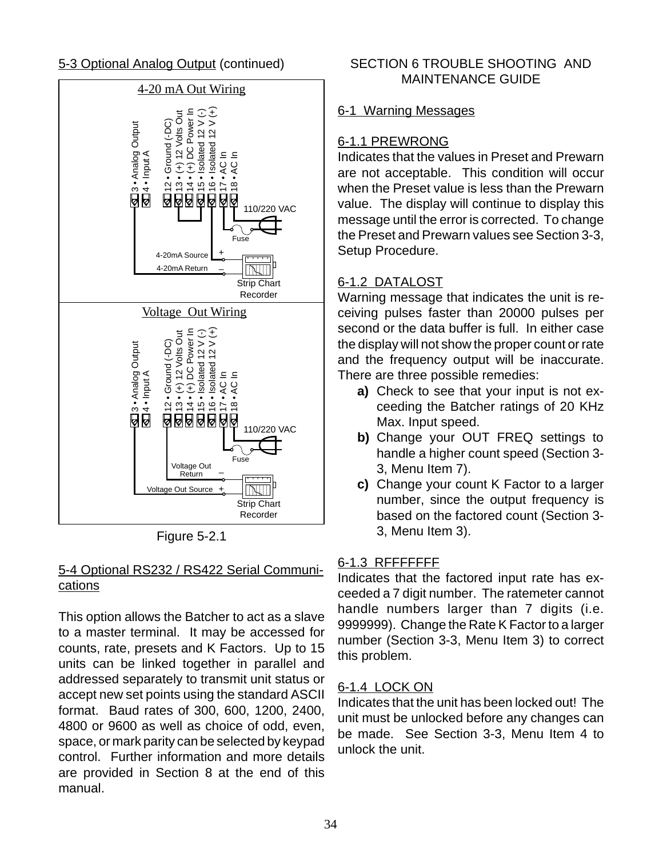

Figure 5-2.1

# 5-4 Optional RS232 / RS422 Serial Communications

This option allows the Batcher to act as a slave to a master terminal. It may be accessed for counts, rate, presets and K Factors. Up to 15 units can be linked together in parallel and addressed separately to transmit unit status or accept new set points using the standard ASCII format. Baud rates of 300, 600, 1200, 2400, 4800 or 9600 as well as choice of odd, even, space, or mark parity can be selected by keypad control. Further information and more details are provided in Section 8 at the end of this manual.

# 5-3 Optional Analog Output (continued) SECTION 6 TROUBLE SHOOTING AND MAINTENANCE GUIDE

# 6-1 Warning Messages

# 6-1.1 PREWRONG

Indicates that the values in Preset and Prewarn are not acceptable. This condition will occur when the Preset value is less than the Prewarn value. The display will continue to display this message until the error is corrected. To change the Preset and Prewarn values see Section 3-3, Setup Procedure.

# 6-1.2 DATALOST

Warning message that indicates the unit is receiving pulses faster than 20000 pulses per second or the data buffer is full. In either case the display will not show the proper count or rate and the frequency output will be inaccurate. There are three possible remedies:

- **a)** Check to see that your input is not exceeding the Batcher ratings of 20 KHz Max. Input speed.
- **b)** Change your OUT FREQ settings to handle a higher count speed (Section 3- 3, Menu Item 7).
- **c)** Change your count K Factor to a larger number, since the output frequency is based on the factored count (Section 3- 3, Menu Item 3).

# 6-1.3 RFFFFFFF

Indicates that the factored input rate has exceeded a 7 digit number. The ratemeter cannot handle numbers larger than 7 digits (i.e. 9999999). Change the Rate K Factor to a larger number (Section 3-3, Menu Item 3) to correct this problem.

# 6-1.4 LOCK ON

Indicates that the unit has been locked out! The unit must be unlocked before any changes can be made. See Section 3-3, Menu Item 4 to unlock the unit.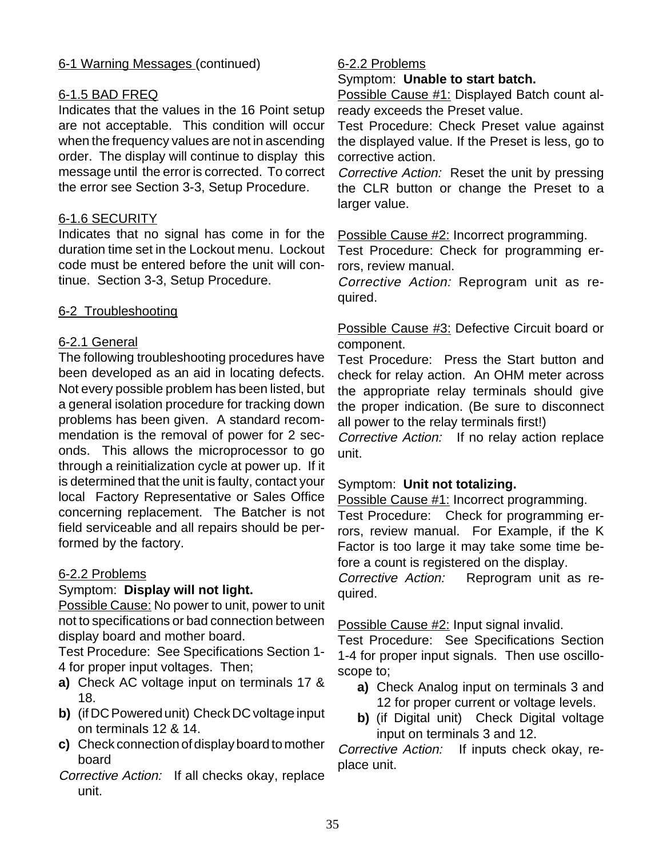# 6-1 Warning Messages (continued)

# 6-1.5 BAD FREQ

Indicates that the values in the 16 Point setup are not acceptable. This condition will occur when the frequency values are not in ascending order. The display will continue to display this message until the error is corrected. To correct the error see Section 3-3, Setup Procedure.

# 6-1.6 SECURITY

Indicates that no signal has come in for the duration time set in the Lockout menu. Lockout code must be entered before the unit will continue. Section 3-3, Setup Procedure.

# 6-2 Troubleshooting

# 6-2.1 General

The following troubleshooting procedures have been developed as an aid in locating defects. Not every possible problem has been listed, but a general isolation procedure for tracking down problems has been given. A standard recommendation is the removal of power for 2 seconds. This allows the microprocessor to go through a reinitialization cycle at power up. If it is determined that the unit is faulty, contact your local Factory Representative or Sales Office concerning replacement. The Batcher is not field serviceable and all repairs should be performed by the factory.

# 6-2.2 Problems

# Symptom: **Display will not light.**

Possible Cause: No power to unit, power to unit not to specifications or bad connection between display board and mother board.

Test Procedure: See Specifications Section 1- 4 for proper input voltages. Then;

- **a)** Check AC voltage input on terminals 17 & 18.
- **b)** (if DC Powered unit) Check DC voltage input on terminals 12 & 14.
- **c)** Check connection of display board to mother board
- Corrective Action: If all checks okay, replace unit.

# 6-2.2 Problems

Symptom: **Unable to start batch.**

Possible Cause #1: Displayed Batch count already exceeds the Preset value.

Test Procedure: Check Preset value against the displayed value. If the Preset is less, go to corrective action.

Corrective Action: Reset the unit by pressing the CLR button or change the Preset to a larger value.

Possible Cause #2: Incorrect programming.

Test Procedure: Check for programming errors, review manual.

Corrective Action: Reprogram unit as required.

# Possible Cause #3: Defective Circuit board or component.

Test Procedure: Press the Start button and check for relay action. An OHM meter across the appropriate relay terminals should give the proper indication. (Be sure to disconnect all power to the relay terminals first!)

Corrective Action: If no relay action replace unit.

# Symptom: **Unit not totalizing.**

Possible Cause #1: Incorrect programming. Test Procedure: Check for programming errors, review manual. For Example, if the K Factor is too large it may take some time before a count is registered on the display.

Corrective Action: Reprogram unit as required.

Possible Cause #2: Input signal invalid.

Test Procedure: See Specifications Section 1-4 for proper input signals. Then use oscilloscope to;

- **a)** Check Analog input on terminals 3 and 12 for proper current or voltage levels.
- **b)** (if Digital unit) Check Digital voltage input on terminals 3 and 12.

Corrective Action: If inputs check okay, replace unit.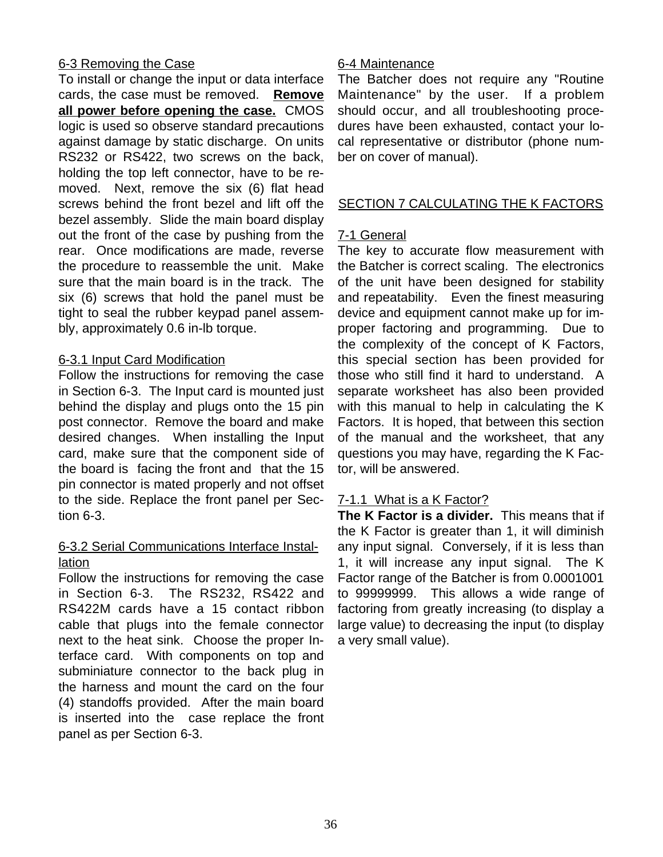# 6-3 Removing the Case

To install or change the input or data interface cards, the case must be removed. **Remove all power before opening the case.** CMOS logic is used so observe standard precautions against damage by static discharge. On units RS232 or RS422, two screws on the back, holding the top left connector, have to be removed. Next, remove the six (6) flat head screws behind the front bezel and lift off the bezel assembly. Slide the main board display out the front of the case by pushing from the rear. Once modifications are made, reverse the procedure to reassemble the unit. Make sure that the main board is in the track. The six (6) screws that hold the panel must be tight to seal the rubber keypad panel assembly, approximately 0.6 in-lb torque.

# 6-3.1 Input Card Modification

Follow the instructions for removing the case in Section 6-3. The Input card is mounted just behind the display and plugs onto the 15 pin post connector. Remove the board and make desired changes. When installing the Input card, make sure that the component side of the board is facing the front and that the 15 pin connector is mated properly and not offset to the side. Replace the front panel per Section 6-3.

# 6-3.2 Serial Communications Interface Installation

Follow the instructions for removing the case in Section 6-3. The RS232, RS422 and RS422M cards have a 15 contact ribbon cable that plugs into the female connector next to the heat sink. Choose the proper Interface card. With components on top and subminiature connector to the back plug in the harness and mount the card on the four (4) standoffs provided. After the main board is inserted into the case replace the front panel as per Section 6-3.

# 6-4 Maintenance

The Batcher does not require any "Routine Maintenance" by the user. If a problem should occur, and all troubleshooting procedures have been exhausted, contact your local representative or distributor (phone number on cover of manual).

# SECTION 7 CALCULATING THE K FACTORS

# 7-1 General

The key to accurate flow measurement with the Batcher is correct scaling. The electronics of the unit have been designed for stability and repeatability. Even the finest measuring device and equipment cannot make up for improper factoring and programming. Due to the complexity of the concept of K Factors, this special section has been provided for those who still find it hard to understand. A separate worksheet has also been provided with this manual to help in calculating the K Factors. It is hoped, that between this section of the manual and the worksheet, that any questions you may have, regarding the K Factor, will be answered.

# 7-1.1 What is a K Factor?

**The K Factor is a divider.** This means that if the K Factor is greater than 1, it will diminish any input signal. Conversely, if it is less than 1, it will increase any input signal. The K Factor range of the Batcher is from 0.0001001 to 99999999. This allows a wide range of factoring from greatly increasing (to display a large value) to decreasing the input (to display a very small value).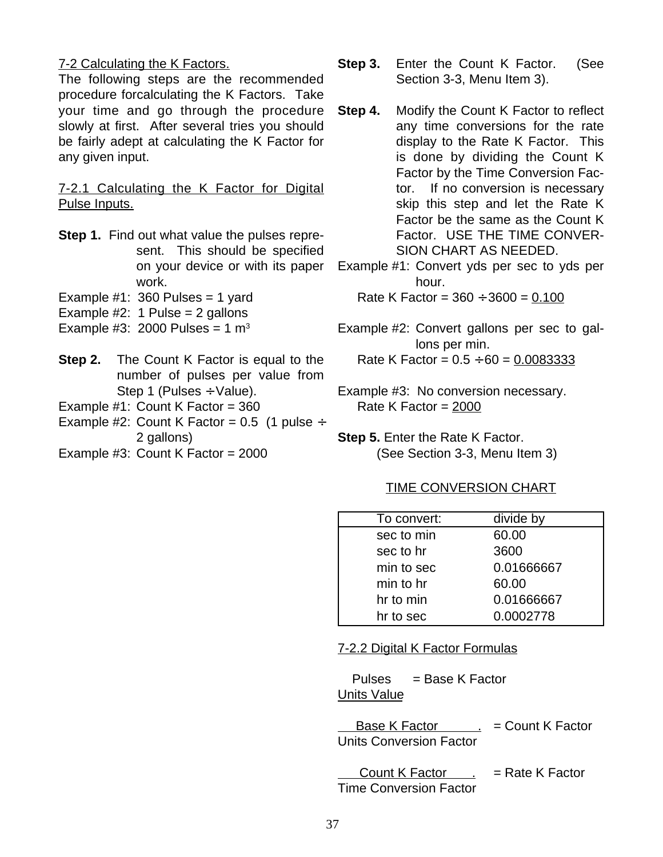#### 7-2 Calculating the K Factors.

The following steps are the recommended procedure forcalculating the K Factors. Take your time and go through the procedure slowly at first. After several tries you should be fairly adept at calculating the K Factor for any given input.

7-2.1 Calculating the K Factor for Digital Pulse Inputs.

- **Step 1.** Find out what value the pulses represent. This should be specified on your device or with its paper work.
- Example  $#1: 360$  Pulses = 1 yard
- Example  $#2: 1$  Pulse = 2 gallons
- Example #3: 2000 Pulses =  $1 \text{ m}^3$
- **Step 2.** The Count K Factor is equal to the number of pulses per value from Step 1 (Pulses  $\div$  Value).
- Example  $#1$ : Count K Factor = 360
- Example #2: Count K Factor =  $0.5$  (1 pulse  $\div$ 2 gallons)
- Example  $#3$ : Count K Factor = 2000
- **Step 3.** Enter the Count K Factor. (See Section 3-3, Menu Item 3).
- **Step 4.** Modify the Count K Factor to reflect any time conversions for the rate display to the Rate K Factor. This is done by dividing the Count K Factor by the Time Conversion Factor. If no conversion is necessary skip this step and let the Rate K Factor be the same as the Count K Factor. USE THE TIME CONVER-SION CHART AS NEEDED.

Example #1: Convert yds per sec to yds per hour.

Rate K Factor =  $360 \div 3600 = 0.100$ 

- Example #2: Convert gallons per sec to gallons per min. Rate K Factor =  $0.5 \div 60 = 0.0083333$
- Example #3: No conversion necessary. Rate K Factor = 2000
- **Step 5.** Enter the Rate K Factor. (See Section 3-3, Menu Item 3)

#### TIME CONVERSION CHART

| To convert: | divide by  |
|-------------|------------|
| sec to min  | 60.00      |
| sec to hr   | 3600       |
| min to sec  | 0.01666667 |
| min to hr   | 60.00      |
| hr to min   | 0.01666667 |
| hr to sec   | 0.0002778  |

#### 7-2.2 Digital K Factor Formulas

Pulses = Base K Factor Units Value

Base K Factor  $\qquad \qquad .$  = Count K Factor Units Conversion Factor

Count K Factor  $\qquad \qquad$  = Rate K Factor Time Conversion Factor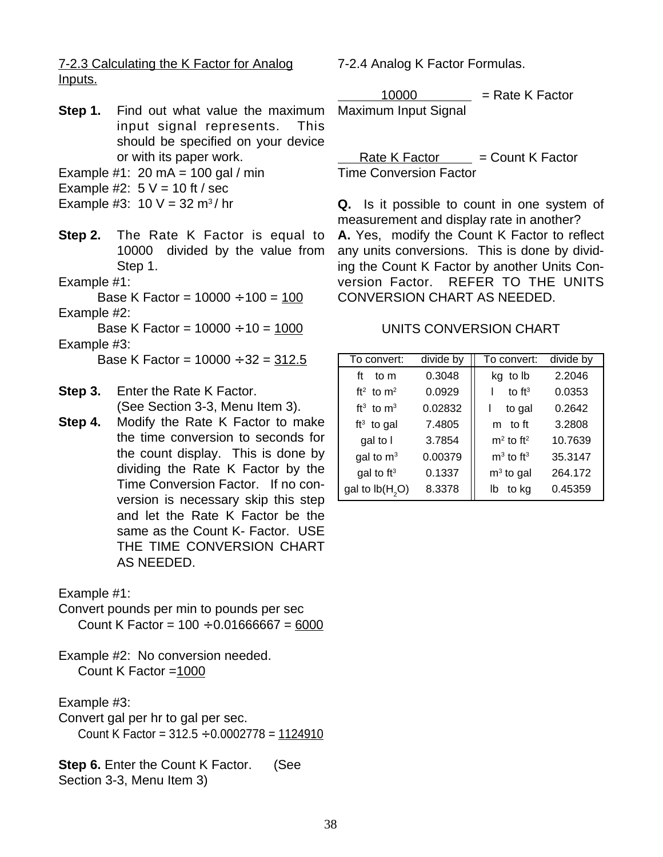7-2.3 Calculating the K Factor for Analog Inputs.

- **Step 1.** Find out what value the maximum input signal represents. This should be specified on your device or with its paper work.
- Example #1: 20 mA = 100 gal / min
- Example #2:  $5 V = 10$  ft / sec
- Example #3:  $10 V = 32 m<sup>3</sup>/hr$
- **Step 2.** The Rate K Factor is equal to 10000 divided by the value from Step 1.
- Example #1:

Base K Factor =  $10000 \div 100 = 100$ Example #2:

Base K Factor =  $10000 \div 10 = 1000$ Example #3:

Base K Factor =  $10000 \div 32 = 312.5$ 

- **Step 3.** Enter the Rate K Factor. (See Section 3-3, Menu Item 3).
- **Step 4.** Modify the Rate K Factor to make the time conversion to seconds for the count display. This is done by dividing the Rate K Factor by the Time Conversion Factor. If no conversion is necessary skip this step and let the Rate K Factor be the same as the Count K- Factor. USE THE TIME CONVERSION CHART AS NEEDED.

Example #1:

Convert pounds per min to pounds per sec Count K Factor =  $100 \div 0.01666667 = 6000$ 

Example #2: No conversion needed. Count K Factor =1000

Example #3:

Convert gal per hr to gal per sec. Count K Factor =  $312.5 \div 0.0002778 = 1124910$ 

**Step 6.** Enter the Count K Factor. (See Section 3-3, Menu Item 3)

7-2.4 Analog K Factor Formulas.

 $10000$  = Rate K Factor Maximum Input Signal

 $Rate K Factor = Count K Factor$ Time Conversion Factor

**Q.** Is it possible to count in one system of measurement and display rate in another? **A.** Yes, modify the Count K Factor to reflect any units conversions. This is done by dividing the Count K Factor by another Units Conversion Factor. REFER TO THE UNITS CONVERSION CHART AS NEEDED.

#### UNITS CONVERSION CHART

| To convert:              | divide by | To convert:             | divide by |
|--------------------------|-----------|-------------------------|-----------|
| ft<br>to m               | 0.3048    | kg to lb                | 2.2046    |
| ft <sup>2</sup> to $m^2$ | 0.0929    | to $ft^3$               | 0.0353    |
| $ft3$ to $m3$            | 0.02832   | to gal                  | 0.2642    |
| $ft3$ to gal             | 7.4805    | m to ft                 | 3.2808    |
| gal to I                 | 3.7854    | $m2$ to ft <sup>2</sup> | 10.7639   |
| gal to $m3$              | 0.00379   | $m3$ to ft <sup>3</sup> | 35.3147   |
| gal to $ft^3$            | 0.1337    | $m3$ to gal             | 264.172   |
| gal to $lb(H, O)$        | 8.3378    | to kg<br>lb             | 0.45359   |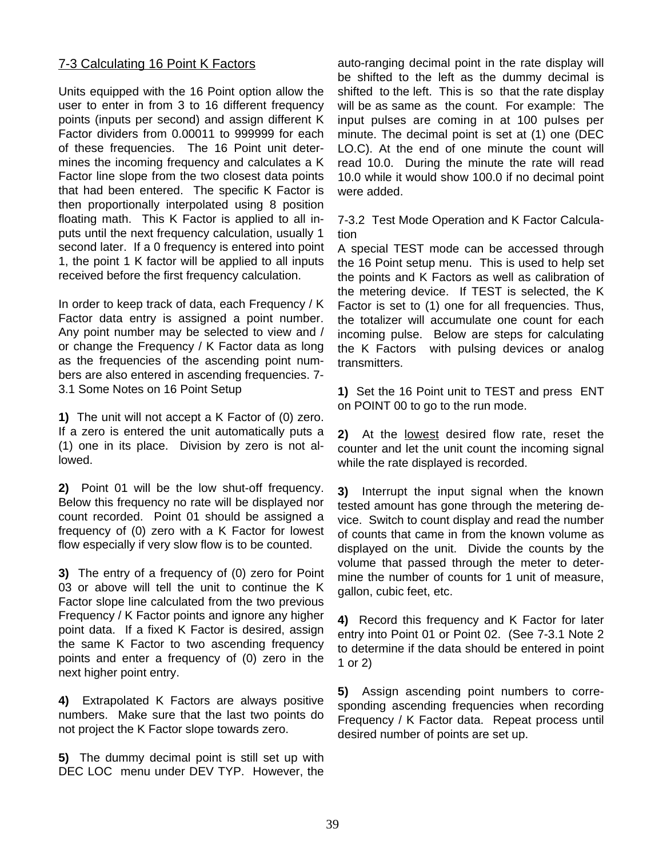#### 7-3 Calculating 16 Point K Factors

Units equipped with the 16 Point option allow the user to enter in from 3 to 16 different frequency points (inputs per second) and assign different K Factor dividers from 0.00011 to 999999 for each of these frequencies. The 16 Point unit determines the incoming frequency and calculates a K Factor line slope from the two closest data points that had been entered. The specific K Factor is then proportionally interpolated using 8 position floating math. This K Factor is applied to all inputs until the next frequency calculation, usually 1 second later. If a 0 frequency is entered into point 1, the point 1 K factor will be applied to all inputs received before the first frequency calculation.

In order to keep track of data, each Frequency / K Factor data entry is assigned a point number. Any point number may be selected to view and / or change the Frequency / K Factor data as long as the frequencies of the ascending point numbers are also entered in ascending frequencies. 7- 3.1 Some Notes on 16 Point Setup

**1)** The unit will not accept a K Factor of (0) zero. If a zero is entered the unit automatically puts a (1) one in its place. Division by zero is not allowed.

**2)** Point 01 will be the low shut-off frequency. Below this frequency no rate will be displayed nor count recorded. Point 01 should be assigned a frequency of (0) zero with a K Factor for lowest flow especially if very slow flow is to be counted.

**3)** The entry of a frequency of (0) zero for Point 03 or above will tell the unit to continue the K Factor slope line calculated from the two previous Frequency / K Factor points and ignore any higher point data. If a fixed K Factor is desired, assign the same K Factor to two ascending frequency points and enter a frequency of (0) zero in the next higher point entry.

**4)** Extrapolated K Factors are always positive numbers. Make sure that the last two points do not project the K Factor slope towards zero.

**5)** The dummy decimal point is still set up with DEC LOC menu under DEV TYP. However, the auto-ranging decimal point in the rate display will be shifted to the left as the dummy decimal is shifted to the left. This is so that the rate display will be as same as the count. For example: The input pulses are coming in at 100 pulses per minute. The decimal point is set at (1) one (DEC LO.C). At the end of one minute the count will read 10.0. During the minute the rate will read 10.0 while it would show 100.0 if no decimal point were added.

7-3.2 Test Mode Operation and K Factor Calculation

A special TEST mode can be accessed through the 16 Point setup menu. This is used to help set the points and K Factors as well as calibration of the metering device. If TEST is selected, the K Factor is set to (1) one for all frequencies. Thus, the totalizer will accumulate one count for each incoming pulse. Below are steps for calculating the K Factors with pulsing devices or analog transmitters.

**1)** Set the 16 Point unit to TEST and press ENT on POINT 00 to go to the run mode.

**2)** At the lowest desired flow rate, reset the counter and let the unit count the incoming signal while the rate displayed is recorded.

**3)** Interrupt the input signal when the known tested amount has gone through the metering device. Switch to count display and read the number of counts that came in from the known volume as displayed on the unit. Divide the counts by the volume that passed through the meter to determine the number of counts for 1 unit of measure, gallon, cubic feet, etc.

**4)** Record this frequency and K Factor for later entry into Point 01 or Point 02. (See 7-3.1 Note 2 to determine if the data should be entered in point 1 or 2)

**5)** Assign ascending point numbers to corresponding ascending frequencies when recording Frequency / K Factor data. Repeat process until desired number of points are set up.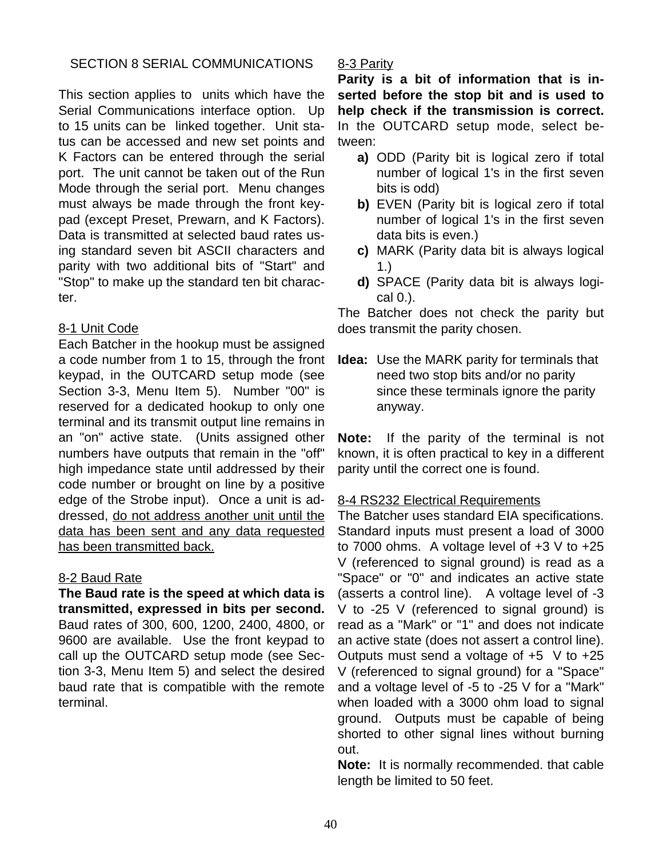# SECTION 8 SERIAL COMMUNICATIONS

This section applies to units which have the Serial Communications interface option. Up to 15 units can be linked together. Unit status can be accessed and new set points and K Factors can be entered through the serial port. The unit cannot be taken out of the Run Mode through the serial port. Menu changes must always be made through the front keypad (except Preset, Prewarn, and K Factors). Data is transmitted at selected baud rates using standard seven bit ASCII characters and parity with two additional bits of "Start" and "Stop" to make up the standard ten bit character.

# 8-1 Unit Code

Each Batcher in the hookup must be assigned a code number from 1 to 15, through the front keypad, in the OUTCARD setup mode (see Section 3-3, Menu Item 5). Number "00" is reserved for a dedicated hookup to only one terminal and its transmit output line remains in an "on" active state. (Units assigned other numbers have outputs that remain in the "off" high impedance state until addressed by their code number or brought on line by a positive edge of the Strobe input). Once a unit is addressed, do not address another unit until the data has been sent and any data requested has been transmitted back.

# 8-2 Baud Rate

**The Baud rate is the speed at which data is transmitted, expressed in bits per second.** Baud rates of 300, 600, 1200, 2400, 4800, or 9600 are available. Use the front keypad to call up the OUTCARD setup mode (see Section 3-3, Menu Item 5) and select the desired baud rate that is compatible with the remote terminal.

# 8-3 Parity

**Parity is a bit of information that is inserted before the stop bit and is used to help check if the transmission is correct.** In the OUTCARD setup mode, select between:

- **a)** ODD (Parity bit is logical zero if total number of logical 1's in the first seven bits is odd)
- **b)** EVEN (Parity bit is logical zero if total number of logical 1's in the first seven data bits is even.)
- **c)** MARK (Parity data bit is always logical 1.)
- **d)** SPACE (Parity data bit is always logical 0.).

The Batcher does not check the parity but does transmit the parity chosen.

**Idea:** Use the MARK parity for terminals that need two stop bits and/or no parity since these terminals ignore the parity anyway.

**Note:** If the parity of the terminal is not known, it is often practical to key in a different parity until the correct one is found.

# 8-4 RS232 Electrical Requirements

The Batcher uses standard EIA specifications. Standard inputs must present a load of 3000 to 7000 ohms. A voltage level of  $+3$  V to  $+25$ V (referenced to signal ground) is read as a "Space" or "0" and indicates an active state (asserts a control line). A voltage level of -3 V to -25 V (referenced to signal ground) is read as a "Mark" or "1" and does not indicate an active state (does not assert a control line). Outputs must send a voltage of  $+5$  V to  $+25$ V (referenced to signal ground) for a "Space" and a voltage level of -5 to -25 V for a "Mark" when loaded with a 3000 ohm load to signal ground. Outputs must be capable of being shorted to other signal lines without burning out.

**Note:** It is normally recommended. that cable length be limited to 50 feet.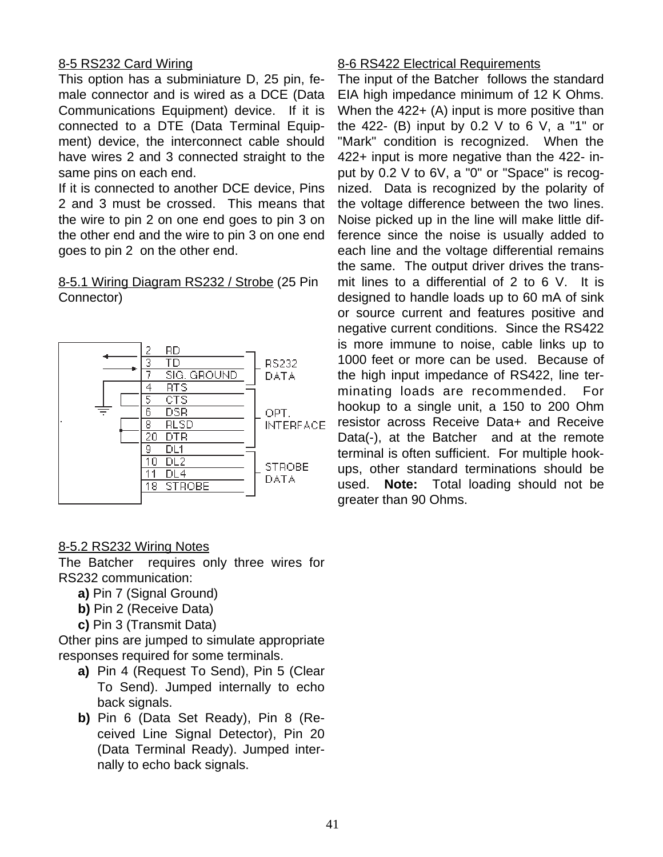# 8-5 RS232 Card Wiring

This option has a subminiature D, 25 pin, female connector and is wired as a DCE (Data Communications Equipment) device. If it is connected to a DTE (Data Terminal Equipment) device, the interconnect cable should have wires 2 and 3 connected straight to the same pins on each end.

If it is connected to another DCE device, Pins 2 and 3 must be crossed. This means that the wire to pin 2 on one end goes to pin 3 on the other end and the wire to pin 3 on one end goes to pin 2 on the other end.

# 8-5.1 Wiring Diagram RS232 / Strobe (25 Pin Connector)



# 8-5.2 RS232 Wiring Notes

The Batcher requires only three wires for RS232 communication:

- **a)** Pin 7 (Signal Ground)
- **b)** Pin 2 (Receive Data)
- **c)** Pin 3 (Transmit Data)

Other pins are jumped to simulate appropriate responses required for some terminals.

- **a)** Pin 4 (Request To Send), Pin 5 (Clear To Send). Jumped internally to echo back signals.
- **b)** Pin 6 (Data Set Ready), Pin 8 (Received Line Signal Detector), Pin 20 (Data Terminal Ready). Jumped internally to echo back signals.

#### 8-6 RS422 Electrical Requirements

The input of the Batcher follows the standard EIA high impedance minimum of 12 K Ohms. When the 422+ (A) input is more positive than the 422- (B) input by 0.2 V to 6 V, a "1" or "Mark" condition is recognized. When the 422+ input is more negative than the 422- input by 0.2 V to 6V, a "0" or "Space" is recognized. Data is recognized by the polarity of the voltage difference between the two lines. Noise picked up in the line will make little difference since the noise is usually added to each line and the voltage differential remains the same. The output driver drives the transmit lines to a differential of 2 to 6 V. It is designed to handle loads up to 60 mA of sink or source current and features positive and negative current conditions. Since the RS422 is more immune to noise, cable links up to 1000 feet or more can be used. Because of the high input impedance of RS422, line terminating loads are recommended. For hookup to a single unit, a 150 to 200 Ohm resistor across Receive Data+ and Receive Data(-), at the Batcher and at the remote terminal is often sufficient. For multiple hookups, other standard terminations should be used. **Note:** Total loading should not be greater than 90 Ohms.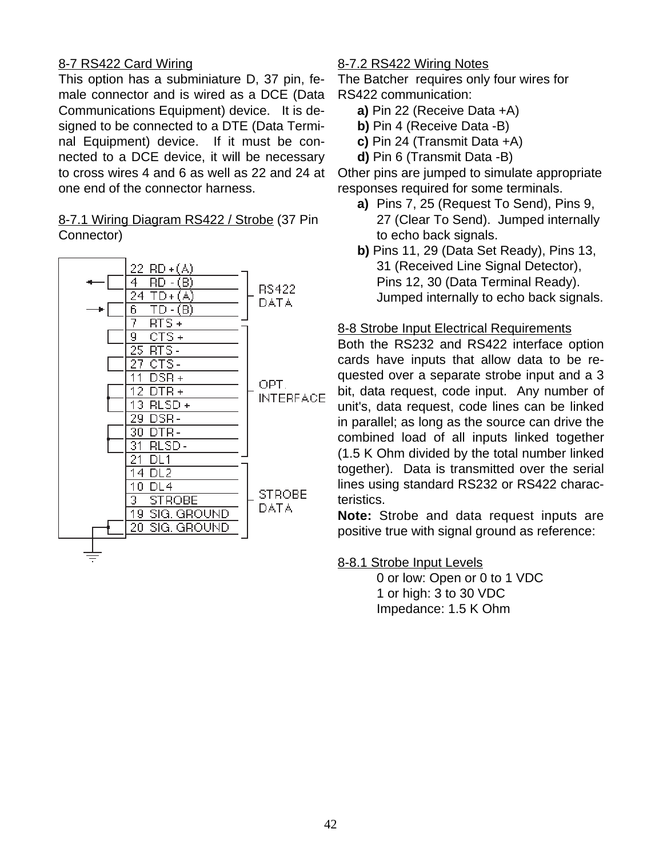# 8-7 RS422 Card Wiring

This option has a subminiature D, 37 pin, female connector and is wired as a DCE (Data Communications Equipment) device. It is designed to be connected to a DTE (Data Terminal Equipment) device. If it must be connected to a DCE device, it will be necessary to cross wires 4 and 6 as well as 22 and 24 at one end of the connector harness.

#### 8-7.1 Wiring Diagram RS422 / Strobe (37 Pin Connector)



#### 8-7.2 RS422 Wiring Notes

The Batcher requires only four wires for RS422 communication:

- **a)** Pin 22 (Receive Data +A)
- **b)** Pin 4 (Receive Data -B)
- **c)** Pin 24 (Transmit Data +A)
- **d)** Pin 6 (Transmit Data -B)

Other pins are jumped to simulate appropriate responses required for some terminals.

- **a)** Pins 7, 25 (Request To Send), Pins 9, 27 (Clear To Send). Jumped internally to echo back signals.
- **b)** Pins 11, 29 (Data Set Ready), Pins 13, 31 (Received Line Signal Detector), Pins 12, 30 (Data Terminal Ready). Jumped internally to echo back signals.

#### 8-8 Strobe Input Electrical Requirements

Both the RS232 and RS422 interface option cards have inputs that allow data to be requested over a separate strobe input and a 3 bit, data request, code input. Any number of unit's, data request, code lines can be linked in parallel; as long as the source can drive the combined load of all inputs linked together (1.5 K Ohm divided by the total number linked together). Data is transmitted over the serial lines using standard RS232 or RS422 characteristics.

**Note:** Strobe and data request inputs are positive true with signal ground as reference:

8-8.1 Strobe Input Levels

0 or low: Open or 0 to 1 VDC 1 or high: 3 to 30 VDC Impedance: 1.5 K Ohm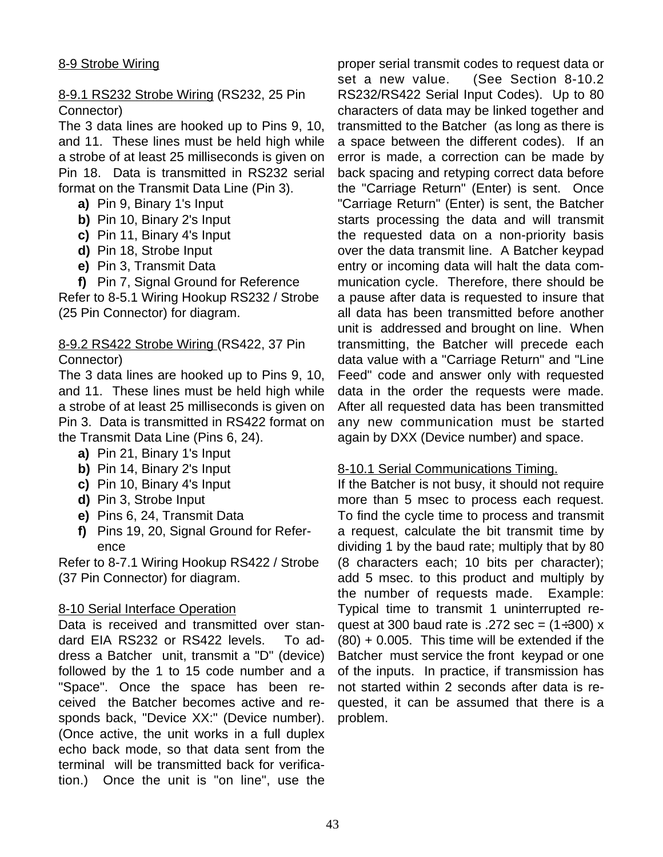# 8-9.1 RS232 Strobe Wiring (RS232, 25 Pin Connector)

The 3 data lines are hooked up to Pins 9, 10, and 11. These lines must be held high while a strobe of at least 25 milliseconds is given on Pin 18. Data is transmitted in RS232 serial format on the Transmit Data Line (Pin 3).

- **a)** Pin 9, Binary 1's Input
- **b)** Pin 10, Binary 2's Input
- **c)** Pin 11, Binary 4's Input
- **d)** Pin 18, Strobe Input
- **e)** Pin 3, Transmit Data
- **f)** Pin 7, Signal Ground for Reference

Refer to 8-5.1 Wiring Hookup RS232 / Strobe (25 Pin Connector) for diagram.

#### 8-9.2 RS422 Strobe Wiring (RS422, 37 Pin Connector)

The 3 data lines are hooked up to Pins 9, 10, and 11. These lines must be held high while a strobe of at least 25 milliseconds is given on Pin 3. Data is transmitted in RS422 format on the Transmit Data Line (Pins 6, 24).

- **a)** Pin 21, Binary 1's Input
- **b)** Pin 14, Binary 2's Input
- **c)** Pin 10, Binary 4's Input
- **d)** Pin 3, Strobe Input
- **e)** Pins 6, 24, Transmit Data
- **f)** Pins 19, 20, Signal Ground for Reference

Refer to 8-7.1 Wiring Hookup RS422 / Strobe (37 Pin Connector) for diagram.

#### 8-10 Serial Interface Operation

Data is received and transmitted over standard EIA RS232 or RS422 levels. To address a Batcher unit, transmit a "D" (device) followed by the 1 to 15 code number and a "Space". Once the space has been received the Batcher becomes active and responds back, "Device XX:" (Device number). (Once active, the unit works in a full duplex echo back mode, so that data sent from the terminal will be transmitted back for verification.) Once the unit is "on line", use the

proper serial transmit codes to request data or set a new value. (See Section 8-10.2 RS232/RS422 Serial Input Codes). Up to 80 characters of data may be linked together and transmitted to the Batcher (as long as there is a space between the different codes). If an error is made, a correction can be made by back spacing and retyping correct data before the "Carriage Return" (Enter) is sent. Once "Carriage Return" (Enter) is sent, the Batcher starts processing the data and will transmit the requested data on a non-priority basis over the data transmit line. A Batcher keypad entry or incoming data will halt the data communication cycle. Therefore, there should be a pause after data is requested to insure that all data has been transmitted before another unit is addressed and brought on line. When transmitting, the Batcher will precede each data value with a "Carriage Return" and "Line Feed" code and answer only with requested data in the order the requests were made. After all requested data has been transmitted any new communication must be started again by DXX (Device number) and space.

#### 8-10.1 Serial Communications Timing.

If the Batcher is not busy, it should not require more than 5 msec to process each request. To find the cycle time to process and transmit a request, calculate the bit transmit time by dividing 1 by the baud rate; multiply that by 80 (8 characters each; 10 bits per character); add 5 msec. to this product and multiply by the number of requests made. Example: Typical time to transmit 1 uninterrupted request at 300 baud rate is .272 sec =  $(1\div 300)$  x (80) + 0.005. This time will be extended if the Batcher must service the front keypad or one of the inputs. In practice, if transmission has not started within 2 seconds after data is requested, it can be assumed that there is a problem.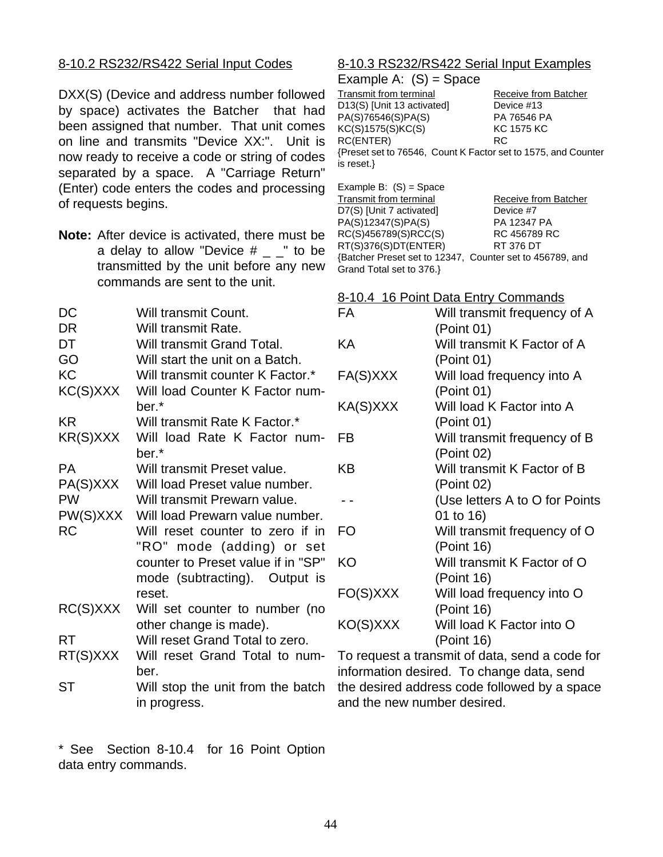# 8-10.2 RS232/RS422 Serial Input Codes

DXX(S) (Device and address number followed by space) activates the Batcher that had been assigned that number. That unit comes on line and transmits "Device XX:". Unit is now ready to receive a code or string of codes separated by a space. A "Carriage Return" (Enter) code enters the codes and processing of requests begins.

**Note:** After device is activated, there must be a delay to allow "Device  $#_$   $"$ " to be transmitted by the unit before any new commands are sent to the unit.

| DC        | Will transmit Count.                  |  |  |  |
|-----------|---------------------------------------|--|--|--|
| DR        | Will transmit Rate.                   |  |  |  |
| DT        | Will transmit Grand Total.            |  |  |  |
| GO        | Will start the unit on a Batch.       |  |  |  |
| <b>KC</b> | Will transmit counter K Factor.*      |  |  |  |
| KC(S)XXX  | Will load Counter K Factor num-       |  |  |  |
|           | ber.*                                 |  |  |  |
| KR.       | Will transmit Rate K Factor.*         |  |  |  |
| KR(S)XXX  | Will load Rate K Factor num-<br>ber.* |  |  |  |
| PА        | Will transmit Preset value.           |  |  |  |
| PA(S)XXX  | Will load Preset value number.        |  |  |  |
| <b>PW</b> | Will transmit Prewarn value.          |  |  |  |
| PW(S)XXX  | Will load Prewarn value number.       |  |  |  |
| <b>RC</b> | Will reset counter to zero if in      |  |  |  |
|           | "RO" mode (adding) or set             |  |  |  |
|           | counter to Preset value if in "SP"    |  |  |  |
|           | mode (subtracting). Output is         |  |  |  |
|           | reset.                                |  |  |  |
| RC(S)XXX  | Will set counter to number (no        |  |  |  |
|           | other change is made).                |  |  |  |
| RT        | Will reset Grand Total to zero.       |  |  |  |
| RT(S)XXX  | Will reset Grand Total to num-        |  |  |  |
|           | ber.                                  |  |  |  |
| ST        | Will stop the unit from the batch     |  |  |  |
|           | in progress.                          |  |  |  |

8-10.3 RS232/RS422 Serial Input Examples

Example A:  $(S)$  = Space Transmit from terminal Receive from Batcher D13(S) [Unit 13 activated] Device #13 PA(S)76546(S)PA(S) PA 76546 PA KC(S)1575(S)KC(S) KC 1575 KC RC(ENTER) RC {Preset set to 76546, Count K Factor set to 1575, and Counter is reset.}

Example B:  $(S)$  = Space Transmit from terminal Receive from Batcher D7(S) [Unit 7 activated] Device #7 PA(S)12347(S)PA(S) PA 12347 PA RC(S)456789(S)RCC(S) RC 456789 RC RT(S)376(S)DT(ENTER) RT 376 DT {Batcher Preset set to 12347, Counter set to 456789, and Grand Total set to 376.}

|           | 8-10.4 16 Point Data Entry Commands |
|-----------|-------------------------------------|
| FA        | Will transmit frequency of A        |
|           | (Point 01)                          |
| ΚA        | Will transmit K Factor of A         |
|           | (Point 01)                          |
| FA(S)XXX  | Will load frequency into A          |
|           | (Point 01)                          |
| KA(S)XXX  | Will load K Factor into A           |
|           | (Point 01)                          |
| FB        | Will transmit frequency of B        |
|           | (Point 02)                          |
| KΒ        | Will transmit K Factor of B         |
|           | (Point 02)                          |
|           | (Use letters A to O for Points      |
|           | 01 to 16)                           |
| <b>FO</b> | Will transmit frequency of O        |
|           | (Point 16)                          |
| ΚO        | Will transmit K Factor of O         |
|           | (Point 16)                          |
| FO(S)XXX  | Will load frequency into O          |
|           | (Point 16)                          |
| KO(S)XXX  | Will load K Factor into O           |
|           | (Point 16)                          |
|           |                                     |

To request a transmit of data, send a code for information desired. To change data, send the desired address code followed by a space and the new number desired.

\* See Section 8-10.4 for 16 Point Option data entry commands.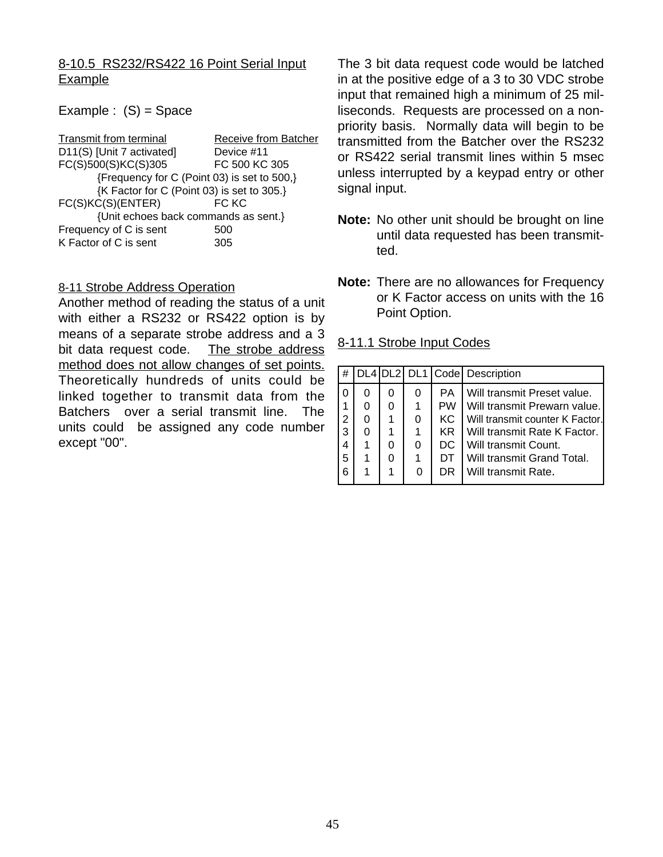# 8-10.5 RS232/RS422 16 Point Serial Input Example

#### Example :  $(S)$  = Space

| Receive from Batcher                        |  |  |  |  |  |
|---------------------------------------------|--|--|--|--|--|
| Device #11                                  |  |  |  |  |  |
| FC 500 KC 305                               |  |  |  |  |  |
| {Frequency for C (Point 03) is set to 500,} |  |  |  |  |  |
| {K Factor for C (Point 03) is set to 305.}  |  |  |  |  |  |
| FC KC                                       |  |  |  |  |  |
| {Unit echoes back commands as sent.}        |  |  |  |  |  |
| 500                                         |  |  |  |  |  |
| 305                                         |  |  |  |  |  |
|                                             |  |  |  |  |  |

#### 8-11 Strobe Address Operation

Another method of reading the status of a unit with either a RS232 or RS422 option is by means of a separate strobe address and a 3 bit data request code. The strobe address method does not allow changes of set points. Theoretically hundreds of units could be linked together to transmit data from the Batchers over a serial transmit line. The units could be assigned any code number except "00".

The 3 bit data request code would be latched in at the positive edge of a 3 to 30 VDC strobe input that remained high a minimum of 25 milliseconds. Requests are processed on a nonpriority basis. Normally data will begin to be transmitted from the Batcher over the RS232 or RS422 serial transmit lines within 5 msec unless interrupted by a keypad entry or other signal input.

- **Note:** No other unit should be brought on line until data requested has been transmitted.
- **Note:** There are no allowances for Frequency or K Factor access on units with the 16 Point Option.

#### 8-11.1 Strobe Input Codes

| ' #            |   |   |   |           | DL4 DL2 DL1 Code Description    |
|----------------|---|---|---|-----------|---------------------------------|
| $\Omega$       | 0 | 0 | 0 | PA.       | Will transmit Preset value.     |
| 1              | 0 |   |   | <b>PW</b> | Will transmit Prewarn value.    |
| $\overline{2}$ | 0 | 1 | 0 | KC.       | Will transmit counter K Factor. |
| 3              | 0 |   | 1 | KR.       | Will transmit Rate K Factor.    |
|                |   |   | 0 | DC.       | Will transmit Count.            |
| -5             | 1 |   | 1 | DТ        | Will transmit Grand Total.      |
| 6              |   |   | 0 | DR        | Will transmit Rate.             |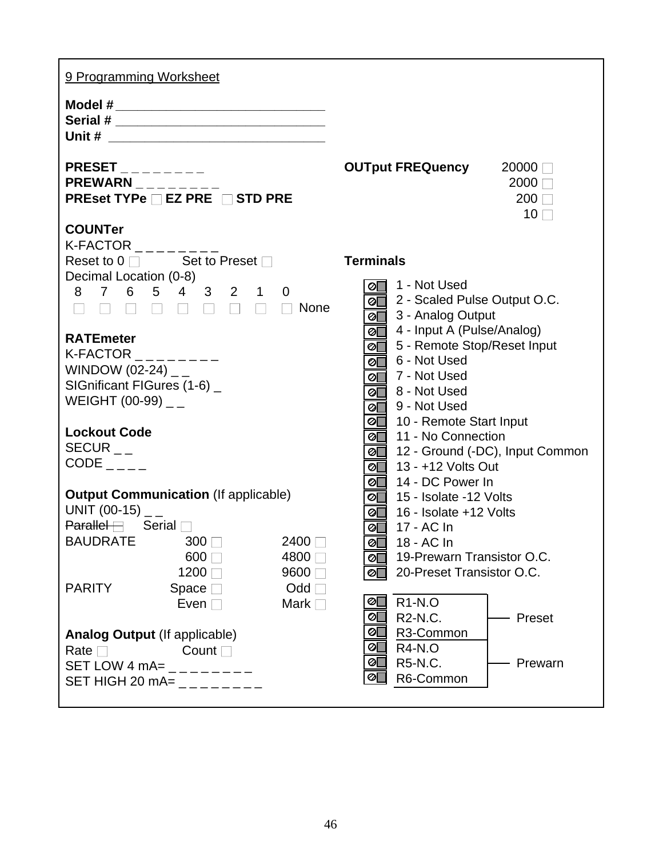| 9 Programming Worksheet                                                                   |                                                                                                                                                           |  |  |  |  |
|-------------------------------------------------------------------------------------------|-----------------------------------------------------------------------------------------------------------------------------------------------------------|--|--|--|--|
| Model # _________________________________                                                 |                                                                                                                                                           |  |  |  |  |
|                                                                                           |                                                                                                                                                           |  |  |  |  |
| $PRESET$ ________<br>$PREWARN$ <sub>-------</sub><br>PREset TYPe □ EZ PRE □ STD PRE       | <b>OUTput FREQuency</b> 20000 □<br>$2000$ $\Box$<br>$200$ $\Box$<br>$10\Box$                                                                              |  |  |  |  |
| <b>COUNTer</b>                                                                            |                                                                                                                                                           |  |  |  |  |
| K-FACTOR $\_\_$<br>Reset to $0 \Box$ Set to Preset $\Box$                                 | <b>Terminals</b>                                                                                                                                          |  |  |  |  |
| Decimal Location (0-8)                                                                    | ⊘ 1 - Not Used                                                                                                                                            |  |  |  |  |
| 8 7 6 5 4 3 2 1 0<br>.<br>None                                                            | 2 - Scaled Pulse Output O.C.<br>$\overline{\textcircled{}}$ 3 - Analog Output                                                                             |  |  |  |  |
| <b>RATEmeter</b><br>K-FACTOR $\_$<br>WINDOW (02-24) $_{-}$<br>SIGnificant FIGures (1-6) _ | ⊘ 4 - Input A (Pulse/Analog)<br>⊘ 5 - Remote Stop/Reset Input<br>⊘ 6 - Not Used<br>$\overline{\otimes}$ 7 - Not Used<br>$\overline{\otimes}$ 8 - Not Used |  |  |  |  |
| WEIGHT (00-99) $_{-}$                                                                     | ⊘ 9 - Not Used<br>⊘ 10 - Remote Start Input                                                                                                               |  |  |  |  |
| <b>Lockout Code</b>                                                                       | ⊘∏<br>11 - No Connection                                                                                                                                  |  |  |  |  |
| $SECUR_{--}$<br>$CODE$ <sub>----</sub>                                                    | ⊘■ 12 - Ground (-DC), Input Common<br><b>⊘</b> 13 - +12 Volts Out                                                                                         |  |  |  |  |
|                                                                                           | 14 - DC Power In<br>⊘⊡                                                                                                                                    |  |  |  |  |
| <b>Output Communication (If applicable)</b>                                               | ⊘ <sup>15</sup> - Isolate -12 Volts                                                                                                                       |  |  |  |  |
| UNIT (00-15) $_{-}$<br>$\mathsf{Parallel}\boxminus$ Serial $\Box$                         | $\overline{\textcircled{}}$ 16 - Isolate +12 Volts<br>$\overline{\otimes}$ 17 - AC In                                                                     |  |  |  |  |
| <b>BAUDRATE</b><br>2400<br>$300$ $\Box$                                                   | <b>⊘</b> 18 - AC In                                                                                                                                       |  |  |  |  |
| $600$ $\Box$<br>4800 □<br>1200□<br>9600□                                                  | 19-Prewarn Transistor O.C.<br>⊘୮<br>20-Preset Transistor O.C.<br>⊘Г                                                                                       |  |  |  |  |
| <b>PARITY</b><br>Odd<br>Space $\square$                                                   | ⊘ $\Box$                                                                                                                                                  |  |  |  |  |
| Even $\square$<br>Mark $\square$                                                          | <b>R1-N.O</b><br>⊘ $\Box$<br>R <sub>2</sub> -N <sub>.C</sub> .<br>Preset                                                                                  |  |  |  |  |
| <b>Analog Output (If applicable)</b>                                                      | R3-Common<br>ØL                                                                                                                                           |  |  |  |  |
| Rate $\square$<br>Count $\square$                                                         | <b>R4-N.O</b><br>ØL<br><b>R5-N.C.</b><br>Prewarn<br>⊘[                                                                                                    |  |  |  |  |
| SET LOW 4 mA= $_{------}$<br>SET HIGH 20 mA= $_{---}$ $_{---}$ $_{---}$                   | R6-Common<br>ØL                                                                                                                                           |  |  |  |  |
|                                                                                           |                                                                                                                                                           |  |  |  |  |